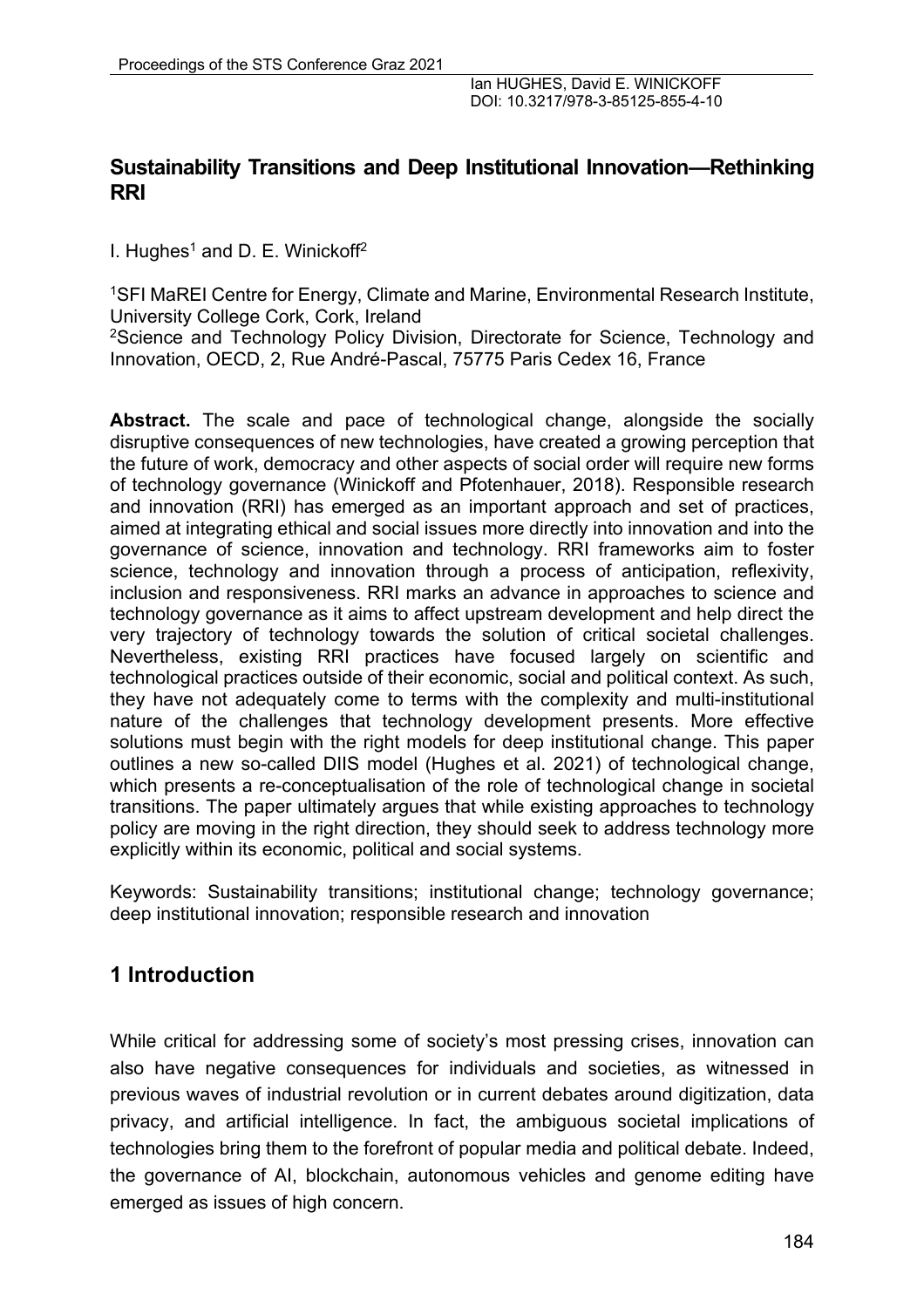## **Sustainability Transitions and Deep Institutional Innovation—Rethinking RRI**

I. Hughes<sup>1</sup> and D. E. Winickoff<sup>2</sup>

1SFI MaREI Centre for Energy, Climate and Marine, Environmental Research Institute, University College Cork, Cork, Ireland <sup>2</sup>Science and Technology Policy Division, Directorate for Science, Technology and

Innovation, OECD, 2, Rue André-Pascal, 75775 Paris Cedex 16, France

**Abstract.** The scale and pace of technological change, alongside the socially disruptive consequences of new technologies, have created a growing perception that the future of work, democracy and other aspects of social order will require new forms of technology governance (Winickoff and Pfotenhauer, 2018). Responsible research and innovation (RRI) has emerged as an important approach and set of practices, aimed at integrating ethical and social issues more directly into innovation and into the governance of science, innovation and technology. RRI frameworks aim to foster science, technology and innovation through a process of anticipation, reflexivity, inclusion and responsiveness. RRI marks an advance in approaches to science and technology governance as it aims to affect upstream development and help direct the very trajectory of technology towards the solution of critical societal challenges. Nevertheless, existing RRI practices have focused largely on scientific and technological practices outside of their economic, social and political context. As such, they have not adequately come to terms with the complexity and multi-institutional nature of the challenges that technology development presents. More effective solutions must begin with the right models for deep institutional change. This paper outlines a new so-called DIIS model (Hughes et al. 2021) of technological change, which presents a re-conceptualisation of the role of technological change in societal transitions. The paper ultimately argues that while existing approaches to technology policy are moving in the right direction, they should seek to address technology more explicitly within its economic, political and social systems.

Keywords: Sustainability transitions; institutional change; technology governance; deep institutional innovation; responsible research and innovation

# **1 Introduction**

While critical for addressing some of society's most pressing crises, innovation can also have negative consequences for individuals and societies, as witnessed in previous waves of industrial revolution or in current debates around digitization, data privacy, and artificial intelligence. In fact, the ambiguous societal implications of technologies bring them to the forefront of popular media and political debate. Indeed, the governance of AI, blockchain, autonomous vehicles and genome editing have emerged as issues of high concern.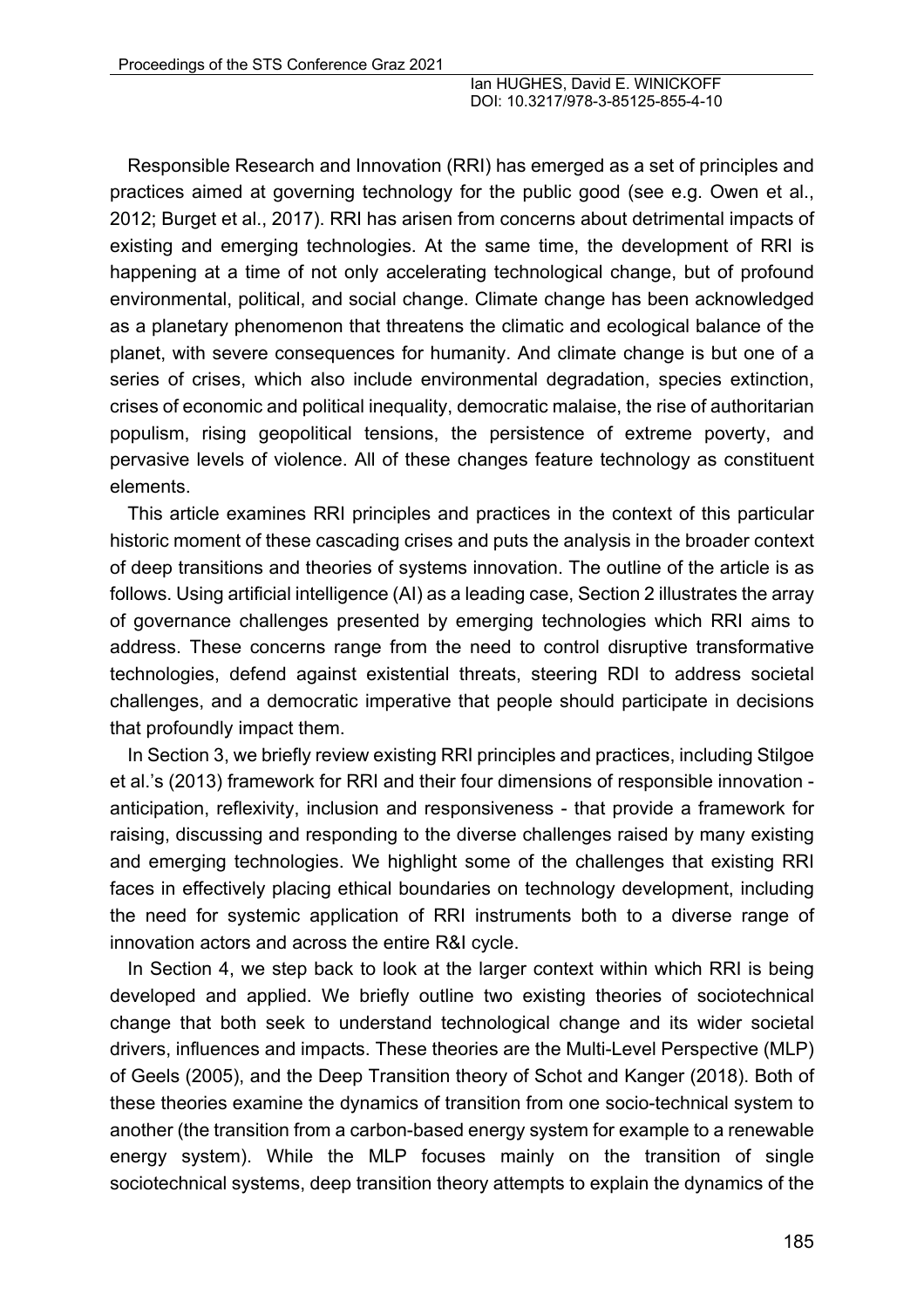Responsible Research and Innovation (RRI) has emerged as a set of principles and practices aimed at governing technology for the public good (see e.g. Owen et al., 2012; Burget et al., 2017). RRI has arisen from concerns about detrimental impacts of existing and emerging technologies. At the same time, the development of RRI is happening at a time of not only accelerating technological change, but of profound environmental, political, and social change. Climate change has been acknowledged as a planetary phenomenon that threatens the climatic and ecological balance of the planet, with severe consequences for humanity. And climate change is but one of a series of crises, which also include environmental degradation, species extinction, crises of economic and political inequality, democratic malaise, the rise of authoritarian populism, rising geopolitical tensions, the persistence of extreme poverty, and pervasive levels of violence. All of these changes feature technology as constituent elements.

This article examines RRI principles and practices in the context of this particular historic moment of these cascading crises and puts the analysis in the broader context of deep transitions and theories of systems innovation. The outline of the article is as follows. Using artificial intelligence (AI) as a leading case, Section 2 illustrates the array of governance challenges presented by emerging technologies which RRI aims to address. These concerns range from the need to control disruptive transformative technologies, defend against existential threats, steering RDI to address societal challenges, and a democratic imperative that people should participate in decisions that profoundly impact them.

In Section 3, we briefly review existing RRI principles and practices, including Stilgoe et al.'s (2013) framework for RRI and their four dimensions of responsible innovation anticipation, reflexivity, inclusion and responsiveness - that provide a framework for raising, discussing and responding to the diverse challenges raised by many existing and emerging technologies. We highlight some of the challenges that existing RRI faces in effectively placing ethical boundaries on technology development, including the need for systemic application of RRI instruments both to a diverse range of innovation actors and across the entire R&I cycle.

In Section 4, we step back to look at the larger context within which RRI is being developed and applied. We briefly outline two existing theories of sociotechnical change that both seek to understand technological change and its wider societal drivers, influences and impacts. These theories are the Multi-Level Perspective (MLP) of Geels (2005), and the Deep Transition theory of Schot and Kanger (2018). Both of these theories examine the dynamics of transition from one socio-technical system to another (the transition from a carbon-based energy system for example to a renewable energy system). While the MLP focuses mainly on the transition of single sociotechnical systems, deep transition theory attempts to explain the dynamics of the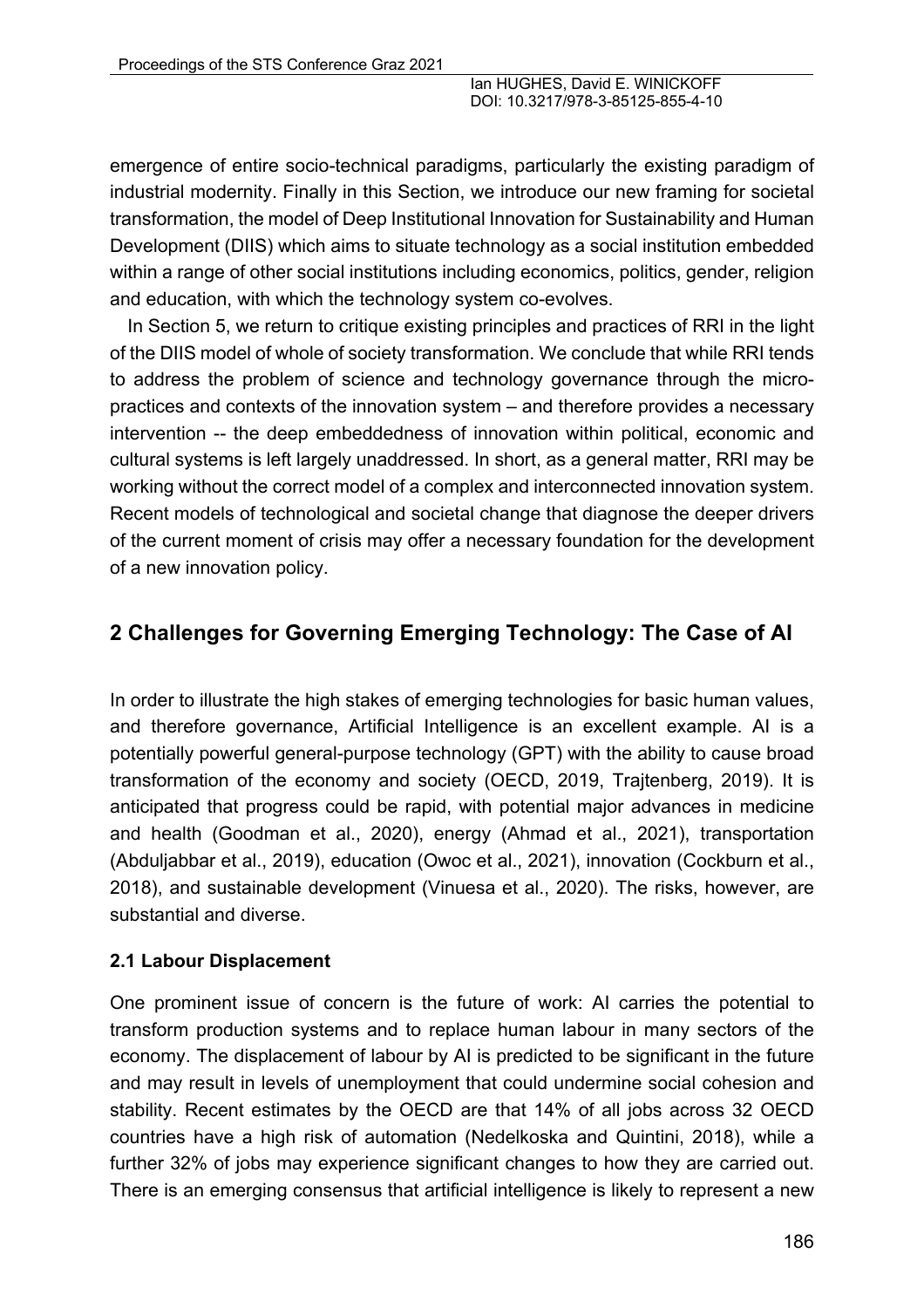emergence of entire socio-technical paradigms, particularly the existing paradigm of industrial modernity. Finally in this Section, we introduce our new framing for societal transformation, the model of Deep Institutional Innovation for Sustainability and Human Development (DIIS) which aims to situate technology as a social institution embedded within a range of other social institutions including economics, politics, gender, religion and education, with which the technology system co-evolves.

In Section 5, we return to critique existing principles and practices of RRI in the light of the DIIS model of whole of society transformation. We conclude that while RRI tends to address the problem of science and technology governance through the micropractices and contexts of the innovation system – and therefore provides a necessary intervention -- the deep embeddedness of innovation within political, economic and cultural systems is left largely unaddressed. In short, as a general matter, RRI may be working without the correct model of a complex and interconnected innovation system. Recent models of technological and societal change that diagnose the deeper drivers of the current moment of crisis may offer a necessary foundation for the development of a new innovation policy.

# **2 Challenges for Governing Emerging Technology: The Case of AI**

In order to illustrate the high stakes of emerging technologies for basic human values, and therefore governance, Artificial Intelligence is an excellent example. AI is a potentially powerful general-purpose technology (GPT) with the ability to cause broad transformation of the economy and society (OECD, 2019, Trajtenberg, 2019). It is anticipated that progress could be rapid, with potential major advances in medicine and health (Goodman et al., 2020), energy (Ahmad et al., 2021), transportation (Abduljabbar et al., 2019), education (Owoc et al., 2021), innovation (Cockburn et al., 2018), and sustainable development (Vinuesa et al., 2020). The risks, however, are substantial and diverse.

#### **2.1 Labour Displacement**

One prominent issue of concern is the future of work: AI carries the potential to transform production systems and to replace human labour in many sectors of the economy. The displacement of labour by AI is predicted to be significant in the future and may result in levels of unemployment that could undermine social cohesion and stability. Recent estimates by the OECD are that 14% of all jobs across 32 OECD countries have a high risk of automation (Nedelkoska and Quintini, 2018), while a further 32% of jobs may experience significant changes to how they are carried out. There is an emerging consensus that artificial intelligence is likely to represent a new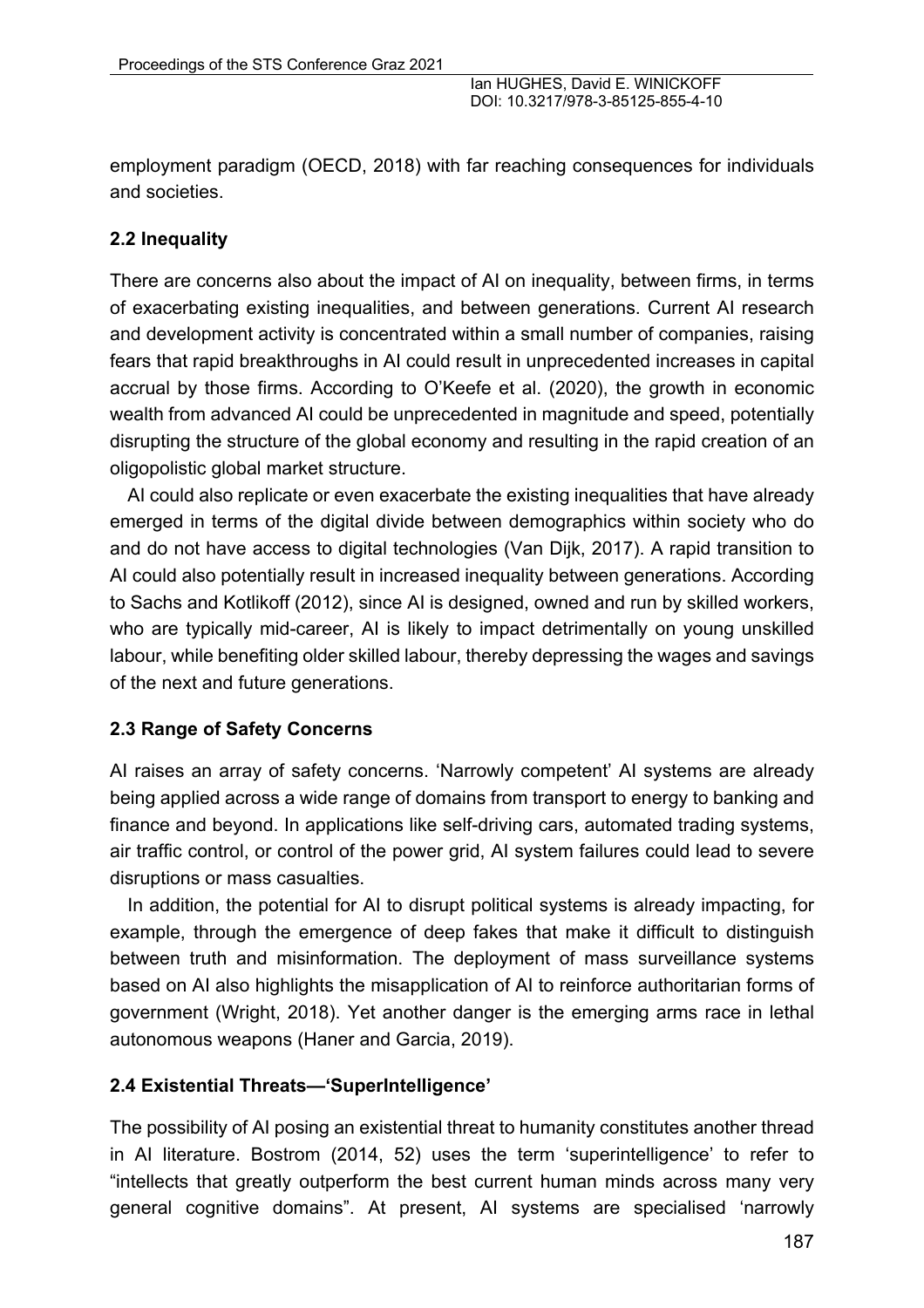employment paradigm (OECD, 2018) with far reaching consequences for individuals and societies.

### **2.2 Inequality**

There are concerns also about the impact of AI on inequality, between firms, in terms of exacerbating existing inequalities, and between generations. Current AI research and development activity is concentrated within a small number of companies, raising fears that rapid breakthroughs in AI could result in unprecedented increases in capital accrual by those firms. According to O'Keefe et al. (2020), the growth in economic wealth from advanced AI could be unprecedented in magnitude and speed, potentially disrupting the structure of the global economy and resulting in the rapid creation of an oligopolistic global market structure.

AI could also replicate or even exacerbate the existing inequalities that have already emerged in terms of the digital divide between demographics within society who do and do not have access to digital technologies (Van Dijk, 2017). A rapid transition to AI could also potentially result in increased inequality between generations. According to Sachs and Kotlikoff (2012), since AI is designed, owned and run by skilled workers, who are typically mid-career, AI is likely to impact detrimentally on young unskilled labour, while benefiting older skilled labour, thereby depressing the wages and savings of the next and future generations.

#### **2.3 Range of Safety Concerns**

AI raises an array of safety concerns. 'Narrowly competent' AI systems are already being applied across a wide range of domains from transport to energy to banking and finance and beyond. In applications like self-driving cars, automated trading systems, air traffic control, or control of the power grid, AI system failures could lead to severe disruptions or mass casualties.

In addition, the potential for AI to disrupt political systems is already impacting, for example, through the emergence of deep fakes that make it difficult to distinguish between truth and misinformation. The deployment of mass surveillance systems based on AI also highlights the misapplication of AI to reinforce authoritarian forms of government (Wright, 2018). Yet another danger is the emerging arms race in lethal autonomous weapons (Haner and Garcia, 2019).

### **2.4 Existential Threats—'SuperIntelligence'**

The possibility of AI posing an existential threat to humanity constitutes another thread in AI literature. Bostrom (2014, 52) uses the term 'superintelligence' to refer to "intellects that greatly outperform the best current human minds across many very general cognitive domains". At present, AI systems are specialised 'narrowly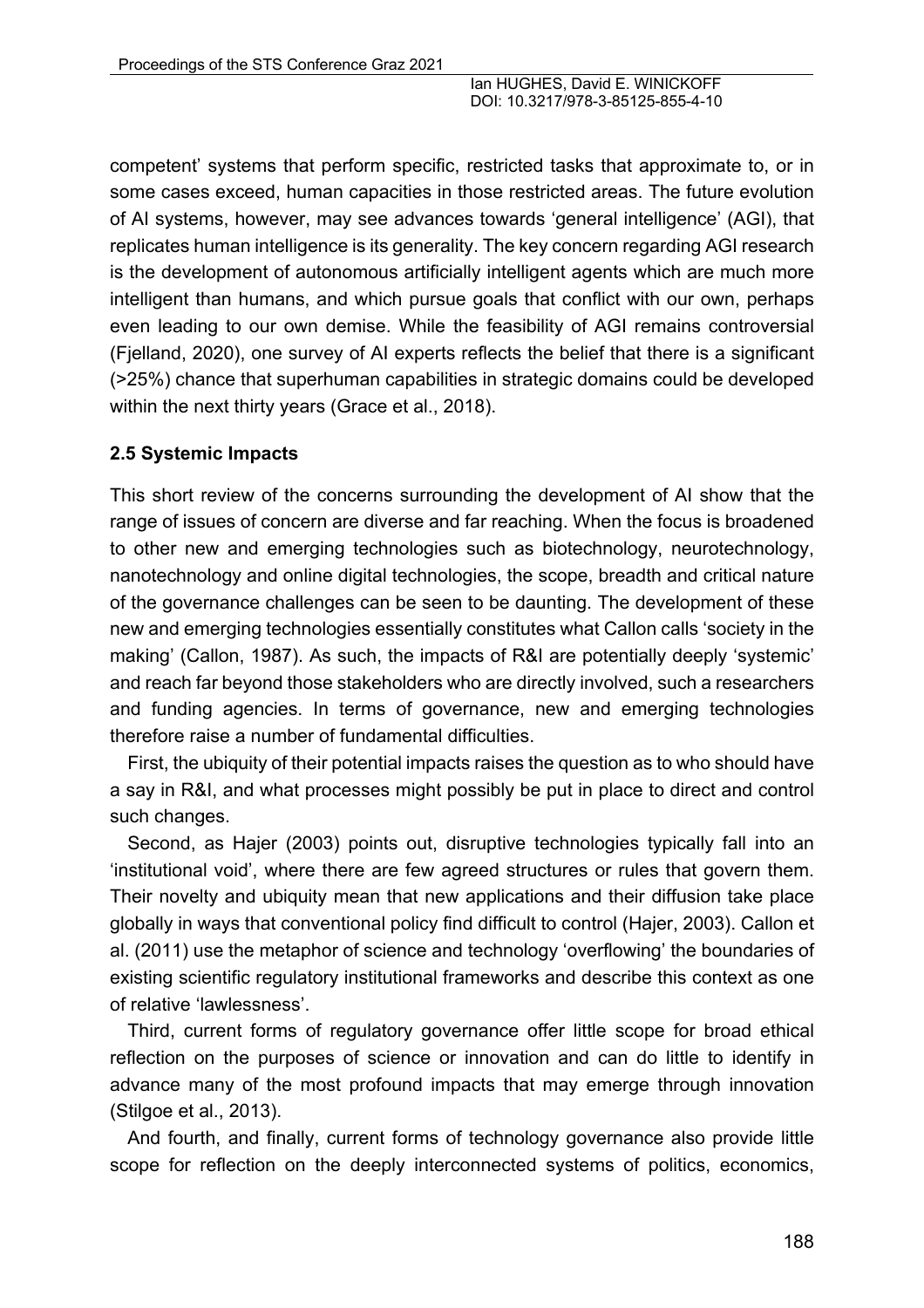competent' systems that perform specific, restricted tasks that approximate to, or in some cases exceed, human capacities in those restricted areas. The future evolution of AI systems, however, may see advances towards 'general intelligence' (AGI), that replicates human intelligence is its generality. The key concern regarding AGI research is the development of autonomous artificially intelligent agents which are much more intelligent than humans, and which pursue goals that conflict with our own, perhaps even leading to our own demise. While the feasibility of AGI remains controversial (Fjelland, 2020), one survey of AI experts reflects the belief that there is a significant (>25%) chance that superhuman capabilities in strategic domains could be developed within the next thirty years (Grace et al., 2018).

#### **2.5 Systemic Impacts**

This short review of the concerns surrounding the development of AI show that the range of issues of concern are diverse and far reaching. When the focus is broadened to other new and emerging technologies such as biotechnology, neurotechnology, nanotechnology and online digital technologies, the scope, breadth and critical nature of the governance challenges can be seen to be daunting. The development of these new and emerging technologies essentially constitutes what Callon calls 'society in the making' (Callon, 1987). As such, the impacts of R&I are potentially deeply 'systemic' and reach far beyond those stakeholders who are directly involved, such a researchers and funding agencies. In terms of governance, new and emerging technologies therefore raise a number of fundamental difficulties.

First, the ubiquity of their potential impacts raises the question as to who should have a say in R&I, and what processes might possibly be put in place to direct and control such changes.

Second, as Hajer (2003) points out, disruptive technologies typically fall into an 'institutional void', where there are few agreed structures or rules that govern them. Their novelty and ubiquity mean that new applications and their diffusion take place globally in ways that conventional policy find difficult to control (Hajer, 2003). Callon et al. (2011) use the metaphor of science and technology 'overflowing' the boundaries of existing scientific regulatory institutional frameworks and describe this context as one of relative 'lawlessness'.

Third, current forms of regulatory governance offer little scope for broad ethical reflection on the purposes of science or innovation and can do little to identify in advance many of the most profound impacts that may emerge through innovation (Stilgoe et al., 2013).

And fourth, and finally, current forms of technology governance also provide little scope for reflection on the deeply interconnected systems of politics, economics,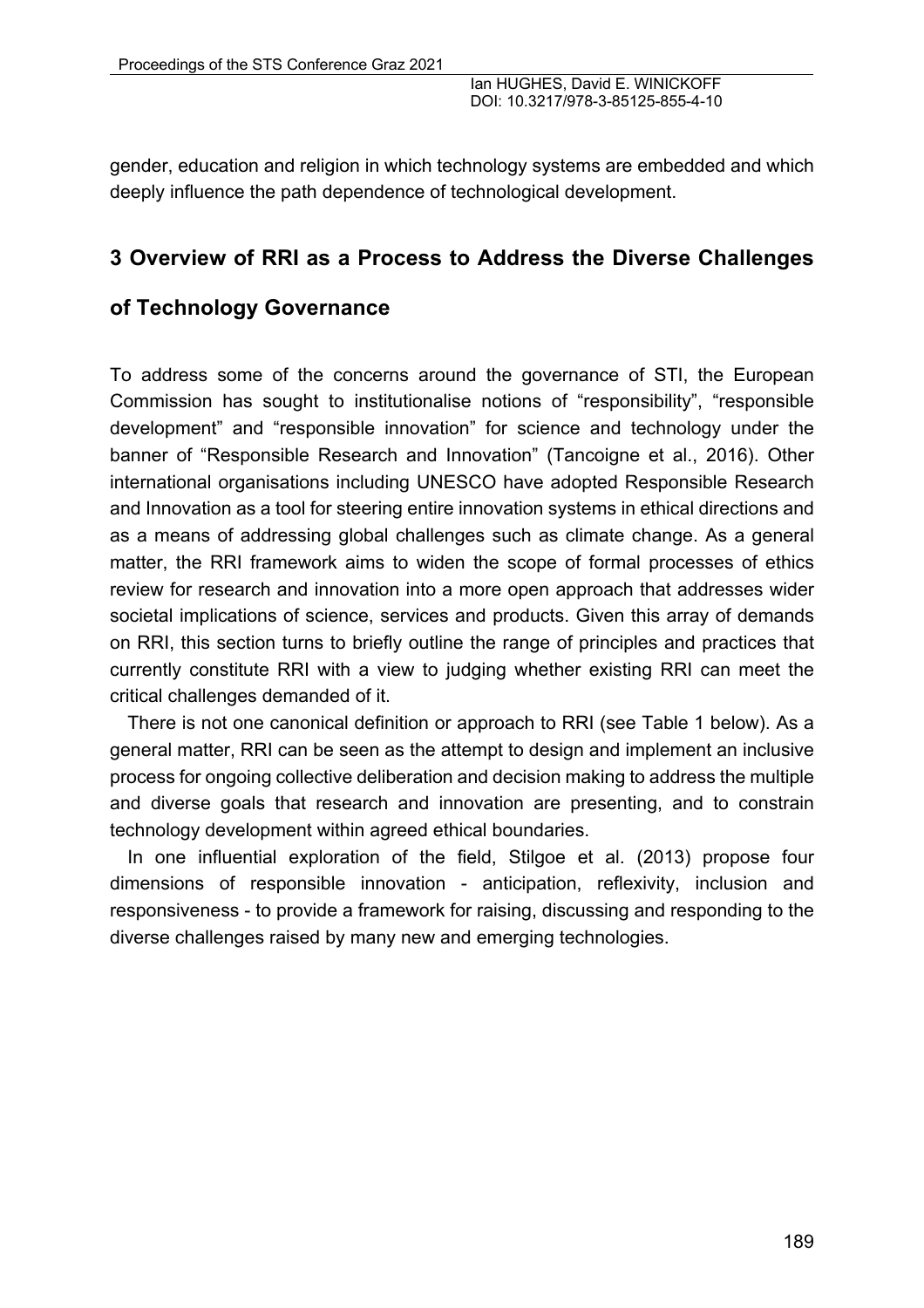gender, education and religion in which technology systems are embedded and which deeply influence the path dependence of technological development.

## **3 Overview of RRI as a Process to Address the Diverse Challenges**

## **of Technology Governance**

To address some of the concerns around the governance of STI, the European Commission has sought to institutionalise notions of "responsibility", "responsible development" and "responsible innovation" for science and technology under the banner of "Responsible Research and Innovation" (Tancoigne et al., 2016). Other international organisations including UNESCO have adopted Responsible Research and Innovation as a tool for steering entire innovation systems in ethical directions and as a means of addressing global challenges such as climate change. As a general matter, the RRI framework aims to widen the scope of formal processes of ethics review for research and innovation into a more open approach that addresses wider societal implications of science, services and products. Given this array of demands on RRI, this section turns to briefly outline the range of principles and practices that currently constitute RRI with a view to judging whether existing RRI can meet the critical challenges demanded of it.

There is not one canonical definition or approach to RRI (see Table 1 below). As a general matter, RRI can be seen as the attempt to design and implement an inclusive process for ongoing collective deliberation and decision making to address the multiple and diverse goals that research and innovation are presenting, and to constrain technology development within agreed ethical boundaries.

In one influential exploration of the field, Stilgoe et al. (2013) propose four dimensions of responsible innovation - anticipation, reflexivity, inclusion and responsiveness - to provide a framework for raising, discussing and responding to the diverse challenges raised by many new and emerging technologies.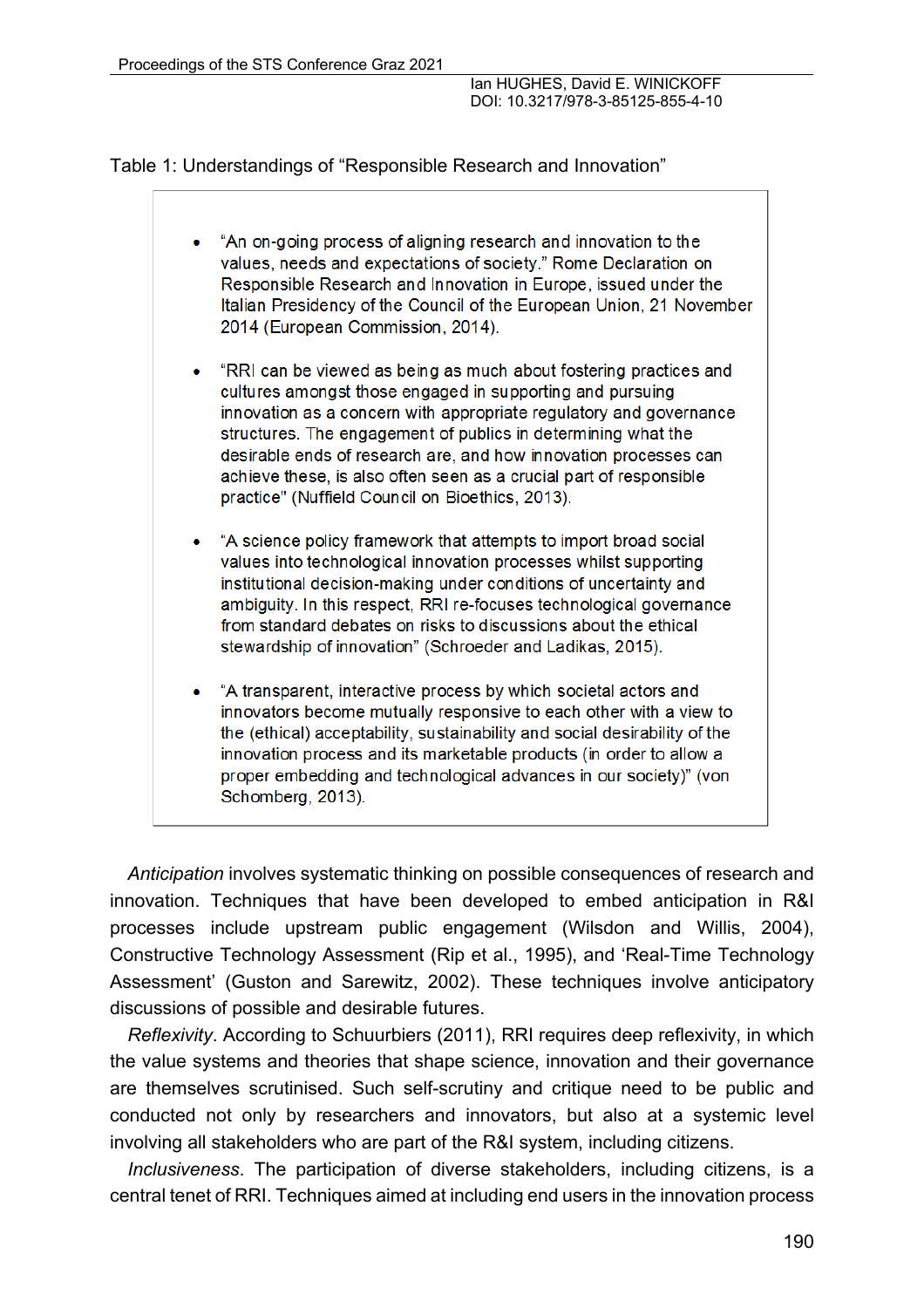Table 1: Understandings of "Responsible Research and Innovation"

| "An on-going process of aligning research and innovation to the<br>values, needs and expectations of society." Rome Declaration on<br>Responsible Research and Innovation in Europe, issued under the<br>Italian Presidency of the Council of the European Union, 21 November<br>2014 (European Commission, 2014).                                                                                                                                                  |
|---------------------------------------------------------------------------------------------------------------------------------------------------------------------------------------------------------------------------------------------------------------------------------------------------------------------------------------------------------------------------------------------------------------------------------------------------------------------|
| "RRI can be viewed as being as much about fostering practices and<br>cultures amongst those engaged in supporting and pursuing<br>innovation as a concern with appropriate regulatory and governance<br>structures. The engagement of publics in determining what the<br>desirable ends of research are, and how innovation processes can<br>achieve these, is also often seen as a crucial part of responsible<br>practice" (Nuffield Council on Bioethics, 2013). |
| "A science policy framework that attempts to import broad social<br>values into technological innovation processes whilst supporting<br>institutional decision-making under conditions of uncertainty and<br>ambiguity. In this respect, RRI re-focuses technological governance<br>from standard debates on risks to discussions about the ethical<br>stewardship of innovation" (Schroeder and Ladikas, 2015).                                                    |
| "A transparent, interactive process by which societal actors and                                                                                                                                                                                                                                                                                                                                                                                                    |

innovators become mutually responsive to each other with a view to the (ethical) acceptability, sustainability and social desirability of the innovation process and its marketable products (in order to allow a proper embedding and technological advances in our society)" (von Schomberg, 2013).

*Anticipation* involves systematic thinking on possible consequences of research and innovation. Techniques that have been developed to embed anticipation in R&I processes include upstream public engagement (Wilsdon and Willis, 2004), Constructive Technology Assessment (Rip et al., 1995), and 'Real-Time Technology Assessment' (Guston and Sarewitz, 2002). These techniques involve anticipatory discussions of possible and desirable futures.

*Reflexivity*. According to Schuurbiers (2011), RRI requires deep reflexivity, in which the value systems and theories that shape science, innovation and their governance are themselves scrutinised. Such self-scrutiny and critique need to be public and conducted not only by researchers and innovators, but also at a systemic level involving all stakeholders who are part of the R&I system, including citizens.

*Inclusiveness*. The participation of diverse stakeholders, including citizens, is a central tenet of RRI. Techniques aimed at including end users in the innovation process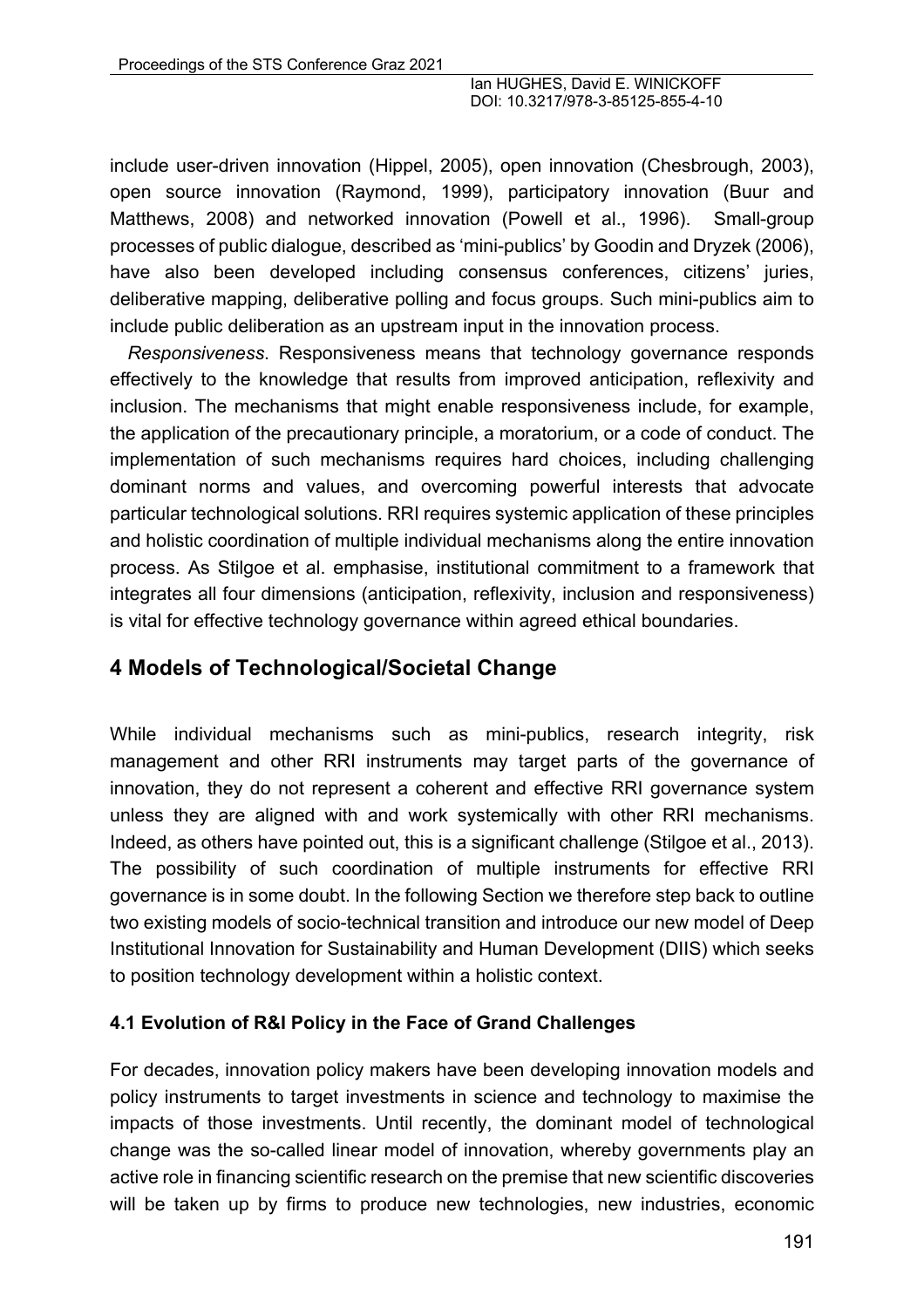include user-driven innovation (Hippel, 2005), open innovation (Chesbrough, 2003), open source innovation (Raymond, 1999), participatory innovation (Buur and Matthews, 2008) and networked innovation (Powell et al., 1996). Small-group processes of public dialogue, described as 'mini-publics' by Goodin and Dryzek (2006), have also been developed including consensus conferences, citizens' juries, deliberative mapping, deliberative polling and focus groups. Such mini-publics aim to include public deliberation as an upstream input in the innovation process.

*Responsiveness*. Responsiveness means that technology governance responds effectively to the knowledge that results from improved anticipation, reflexivity and inclusion. The mechanisms that might enable responsiveness include, for example, the application of the precautionary principle, a moratorium, or a code of conduct. The implementation of such mechanisms requires hard choices, including challenging dominant norms and values, and overcoming powerful interests that advocate particular technological solutions. RRI requires systemic application of these principles and holistic coordination of multiple individual mechanisms along the entire innovation process. As Stilgoe et al. emphasise, institutional commitment to a framework that integrates all four dimensions (anticipation, reflexivity, inclusion and responsiveness) is vital for effective technology governance within agreed ethical boundaries.

# **4 Models of Technological/Societal Change**

While individual mechanisms such as mini-publics, research integrity, risk management and other RRI instruments may target parts of the governance of innovation, they do not represent a coherent and effective RRI governance system unless they are aligned with and work systemically with other RRI mechanisms. Indeed, as others have pointed out, this is a significant challenge (Stilgoe et al., 2013). The possibility of such coordination of multiple instruments for effective RRI governance is in some doubt. In the following Section we therefore step back to outline two existing models of socio-technical transition and introduce our new model of Deep Institutional Innovation for Sustainability and Human Development (DIIS) which seeks to position technology development within a holistic context.

#### **4.1 Evolution of R&I Policy in the Face of Grand Challenges**

For decades, innovation policy makers have been developing innovation models and policy instruments to target investments in science and technology to maximise the impacts of those investments. Until recently, the dominant model of technological change was the so-called linear model of innovation, whereby governments play an active role in financing scientific research on the premise that new scientific discoveries will be taken up by firms to produce new technologies, new industries, economic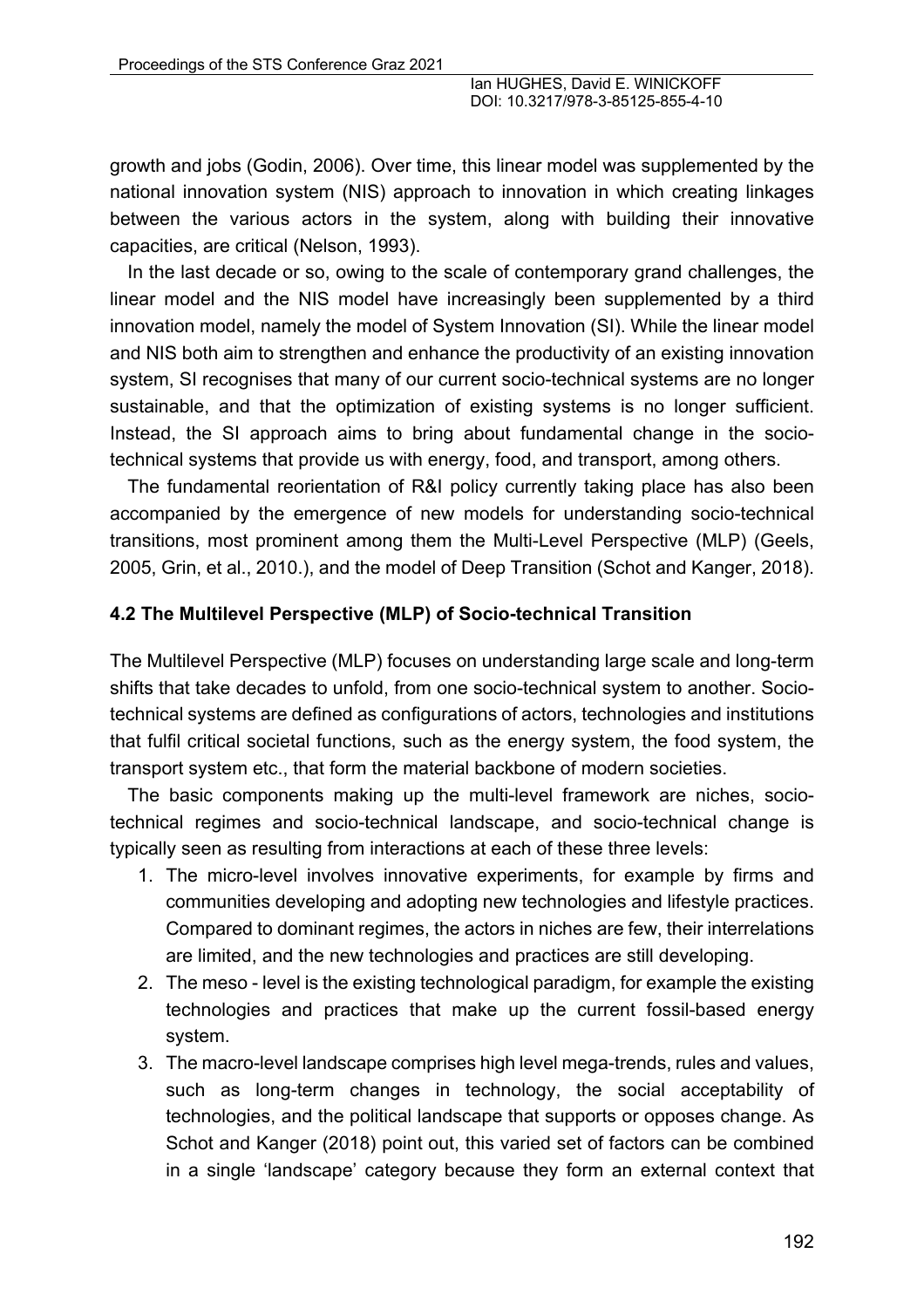growth and jobs (Godin, 2006). Over time, this linear model was supplemented by the national innovation system (NIS) approach to innovation in which creating linkages between the various actors in the system, along with building their innovative capacities, are critical (Nelson, 1993).

In the last decade or so, owing to the scale of contemporary grand challenges, the linear model and the NIS model have increasingly been supplemented by a third innovation model, namely the model of System Innovation (SI). While the linear model and NIS both aim to strengthen and enhance the productivity of an existing innovation system, SI recognises that many of our current socio-technical systems are no longer sustainable, and that the optimization of existing systems is no longer sufficient. Instead, the SI approach aims to bring about fundamental change in the sociotechnical systems that provide us with energy, food, and transport, among others.

The fundamental reorientation of R&I policy currently taking place has also been accompanied by the emergence of new models for understanding socio-technical transitions, most prominent among them the Multi-Level Perspective (MLP) (Geels, 2005, Grin, et al., 2010.), and the model of Deep Transition (Schot and Kanger, 2018).

#### **4.2 The Multilevel Perspective (MLP) of Socio-technical Transition**

The Multilevel Perspective (MLP) focuses on understanding large scale and long-term shifts that take decades to unfold, from one socio-technical system to another. Sociotechnical systems are defined as configurations of actors, technologies and institutions that fulfil critical societal functions, such as the energy system, the food system, the transport system etc., that form the material backbone of modern societies.

The basic components making up the multi-level framework are niches, sociotechnical regimes and socio-technical landscape, and socio-technical change is typically seen as resulting from interactions at each of these three levels:

- 1. The micro-level involves innovative experiments, for example by firms and communities developing and adopting new technologies and lifestyle practices. Compared to dominant regimes, the actors in niches are few, their interrelations are limited, and the new technologies and practices are still developing.
- 2. The meso level is the existing technological paradigm, for example the existing technologies and practices that make up the current fossil-based energy system.
- 3. The macro-level landscape comprises high level mega-trends, rules and values, such as long-term changes in technology, the social acceptability of technologies, and the political landscape that supports or opposes change. As Schot and Kanger (2018) point out, this varied set of factors can be combined in a single 'landscape' category because they form an external context that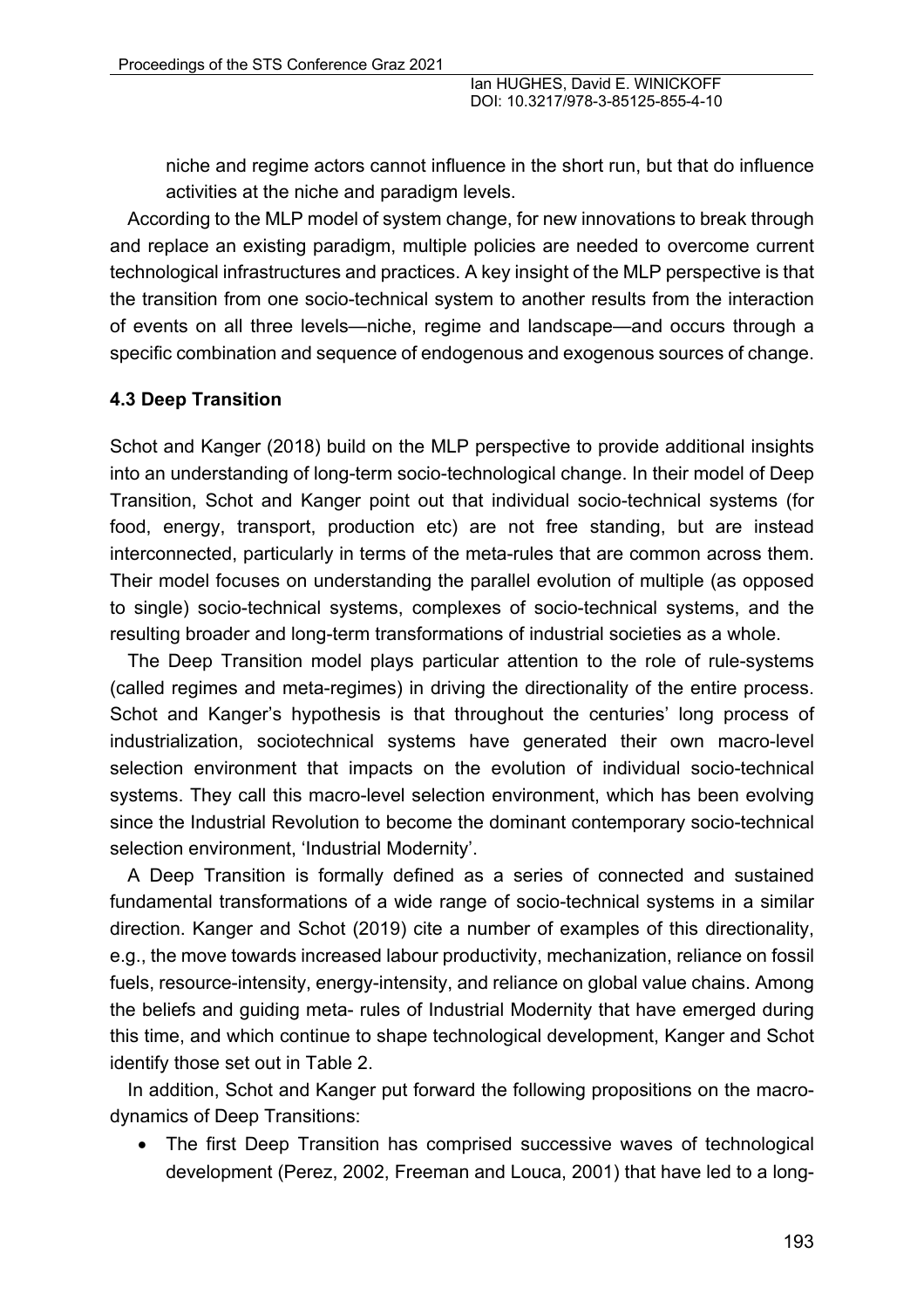niche and regime actors cannot influence in the short run, but that do influence activities at the niche and paradigm levels.

According to the MLP model of system change, for new innovations to break through and replace an existing paradigm, multiple policies are needed to overcome current technological infrastructures and practices. A key insight of the MLP perspective is that the transition from one socio-technical system to another results from the interaction of events on all three levels—niche, regime and landscape—and occurs through a specific combination and sequence of endogenous and exogenous sources of change.

#### **4.3 Deep Transition**

Schot and Kanger (2018) build on the MLP perspective to provide additional insights into an understanding of long-term socio-technological change. In their model of Deep Transition, Schot and Kanger point out that individual socio-technical systems (for food, energy, transport, production etc) are not free standing, but are instead interconnected, particularly in terms of the meta-rules that are common across them. Their model focuses on understanding the parallel evolution of multiple (as opposed to single) socio-technical systems, complexes of socio-technical systems, and the resulting broader and long-term transformations of industrial societies as a whole.

The Deep Transition model plays particular attention to the role of rule-systems (called regimes and meta-regimes) in driving the directionality of the entire process. Schot and Kanger's hypothesis is that throughout the centuries' long process of industrialization, sociotechnical systems have generated their own macro-level selection environment that impacts on the evolution of individual socio-technical systems. They call this macro-level selection environment, which has been evolving since the Industrial Revolution to become the dominant contemporary socio-technical selection environment, 'Industrial Modernity'.

A Deep Transition is formally defined as a series of connected and sustained fundamental transformations of a wide range of socio-technical systems in a similar direction. Kanger and Schot (2019) cite a number of examples of this directionality, e.g., the move towards increased labour productivity, mechanization, reliance on fossil fuels, resource-intensity, energy-intensity, and reliance on global value chains. Among the beliefs and guiding meta- rules of Industrial Modernity that have emerged during this time, and which continue to shape technological development, Kanger and Schot identify those set out in Table 2.

In addition, Schot and Kanger put forward the following propositions on the macrodynamics of Deep Transitions:

• The first Deep Transition has comprised successive waves of technological development (Perez, 2002, Freeman and Louca, 2001) that have led to a long-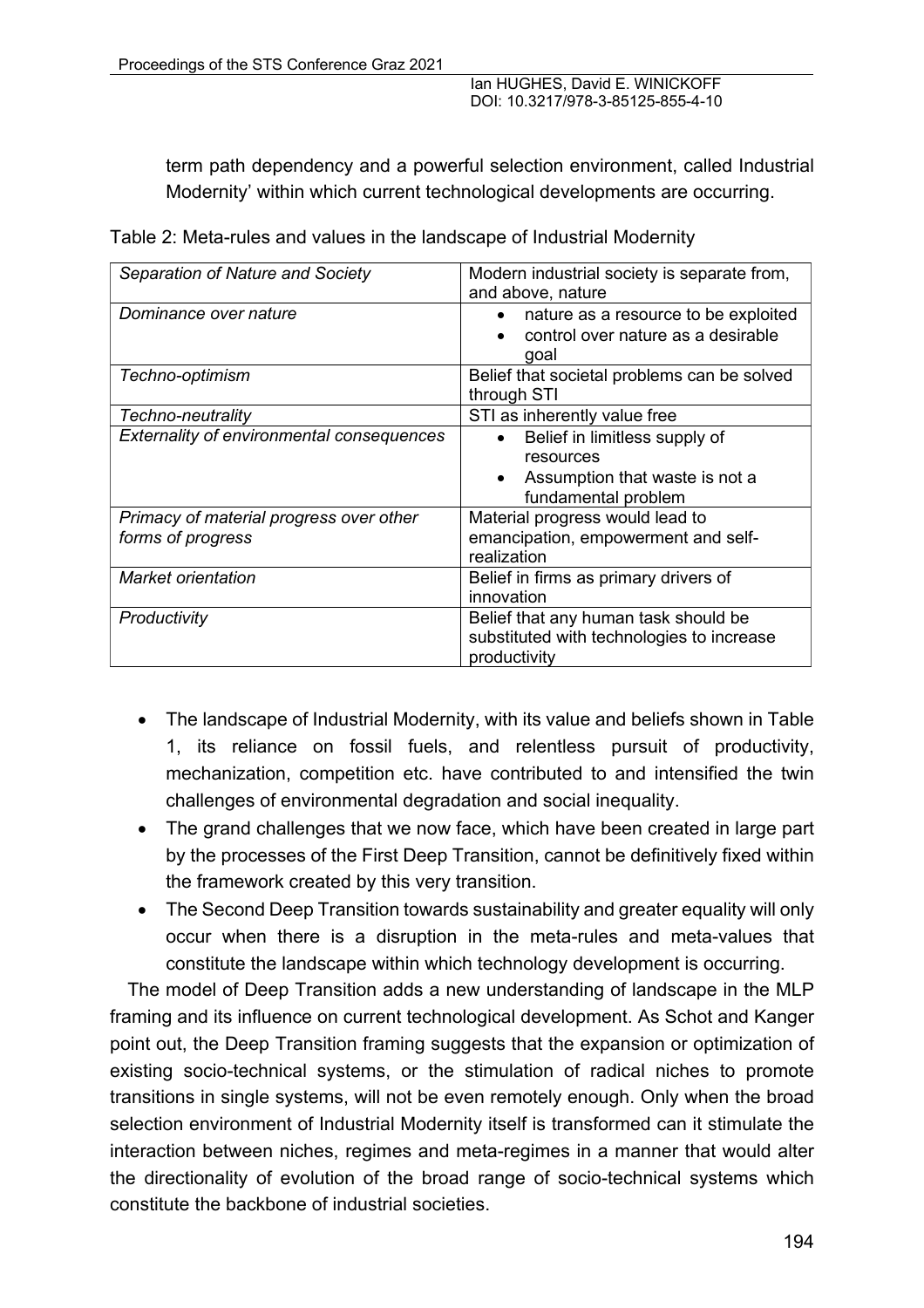term path dependency and a powerful selection environment, called Industrial Modernity' within which current technological developments are occurring.

| Separation of Nature and Society                 | Modern industrial society is separate from,       |
|--------------------------------------------------|---------------------------------------------------|
|                                                  | and above, nature                                 |
| Dominance over nature                            | nature as a resource to be exploited<br>$\bullet$ |
|                                                  | control over nature as a desirable<br>$\bullet$   |
|                                                  | goal                                              |
|                                                  |                                                   |
| Techno-optimism                                  | Belief that societal problems can be solved       |
|                                                  | through STI                                       |
| Techno-neutrality                                | STI as inherently value free                      |
| <b>Externality of environmental consequences</b> | Belief in limitless supply of<br>$\bullet$        |
|                                                  | resources                                         |
|                                                  | Assumption that waste is not a<br>$\bullet$       |
|                                                  | fundamental problem                               |
| Primacy of material progress over other          | Material progress would lead to                   |
| forms of progress                                | emancipation, empowerment and self-               |
|                                                  |                                                   |
|                                                  | realization                                       |
| Market orientation                               | Belief in firms as primary drivers of             |
|                                                  | innovation                                        |
| Productivity                                     | Belief that any human task should be              |
|                                                  | substituted with technologies to increase         |
|                                                  | productivity                                      |
|                                                  |                                                   |

Table 2: Meta-rules and values in the landscape of Industrial Modernity

- The landscape of Industrial Modernity, with its value and beliefs shown in Table 1, its reliance on fossil fuels, and relentless pursuit of productivity, mechanization, competition etc. have contributed to and intensified the twin challenges of environmental degradation and social inequality.
- The grand challenges that we now face, which have been created in large part by the processes of the First Deep Transition, cannot be definitively fixed within the framework created by this very transition.
- The Second Deep Transition towards sustainability and greater equality will only occur when there is a disruption in the meta-rules and meta-values that constitute the landscape within which technology development is occurring.

The model of Deep Transition adds a new understanding of landscape in the MLP framing and its influence on current technological development. As Schot and Kanger point out, the Deep Transition framing suggests that the expansion or optimization of existing socio-technical systems, or the stimulation of radical niches to promote transitions in single systems, will not be even remotely enough. Only when the broad selection environment of Industrial Modernity itself is transformed can it stimulate the interaction between niches, regimes and meta-regimes in a manner that would alter the directionality of evolution of the broad range of socio-technical systems which constitute the backbone of industrial societies.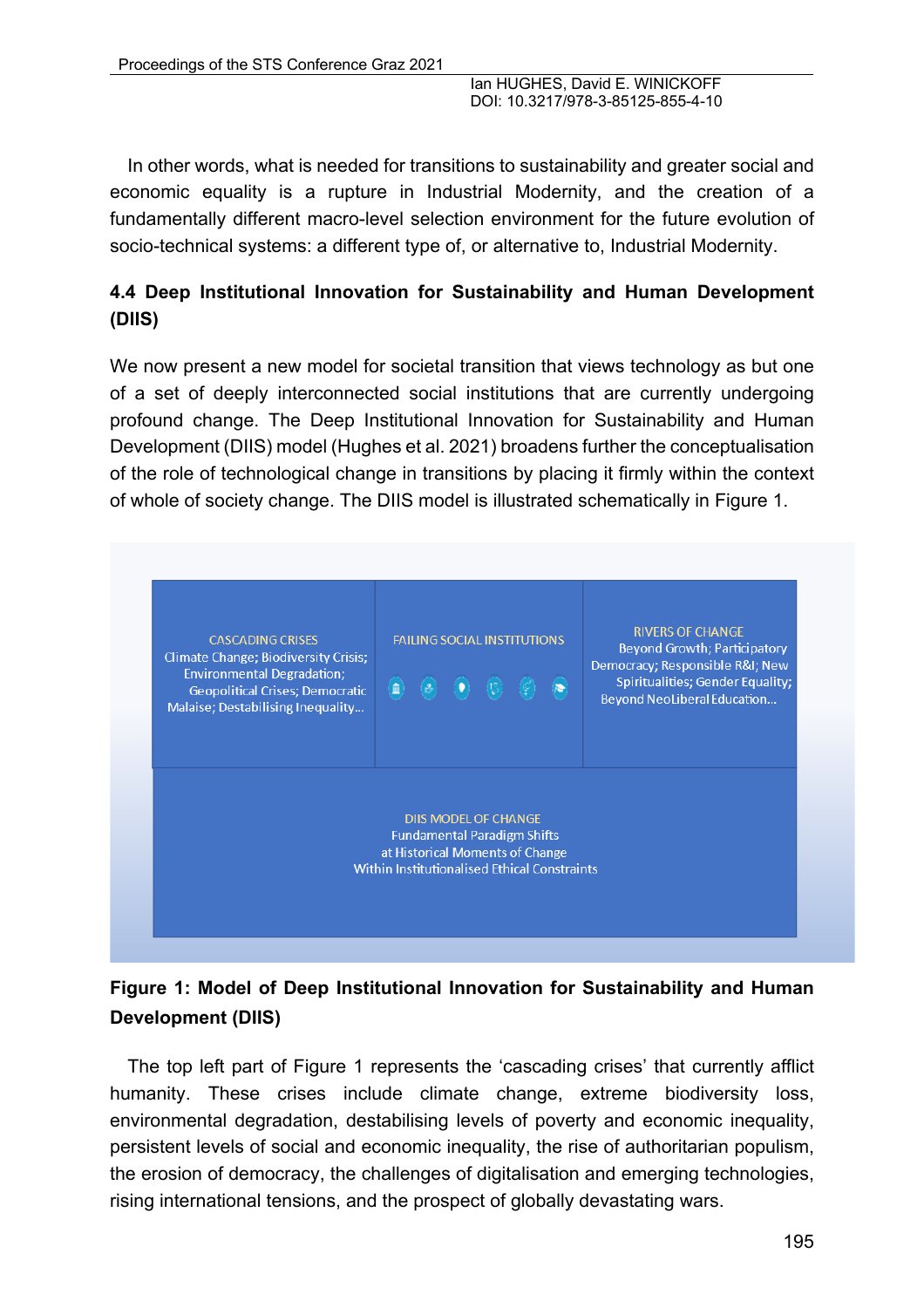In other words, what is needed for transitions to sustainability and greater social and economic equality is a rupture in Industrial Modernity, and the creation of a fundamentally different macro-level selection environment for the future evolution of socio-technical systems: a different type of, or alternative to, Industrial Modernity.

### **4.4 Deep Institutional Innovation for Sustainability and Human Development (DIIS)**

We now present a new model for societal transition that views technology as but one of a set of deeply interconnected social institutions that are currently undergoing profound change. The Deep Institutional Innovation for Sustainability and Human Development (DIIS) model (Hughes et al. 2021) broadens further the conceptualisation of the role of technological change in transitions by placing it firmly within the context of whole of society change. The DIIS model is illustrated schematically in Figure 1.



# **Figure 1: Model of Deep Institutional Innovation for Sustainability and Human Development (DIIS)**

The top left part of Figure 1 represents the 'cascading crises' that currently afflict humanity. These crises include climate change, extreme biodiversity loss, environmental degradation, destabilising levels of poverty and economic inequality, persistent levels of social and economic inequality, the rise of authoritarian populism, the erosion of democracy, the challenges of digitalisation and emerging technologies, rising international tensions, and the prospect of globally devastating wars.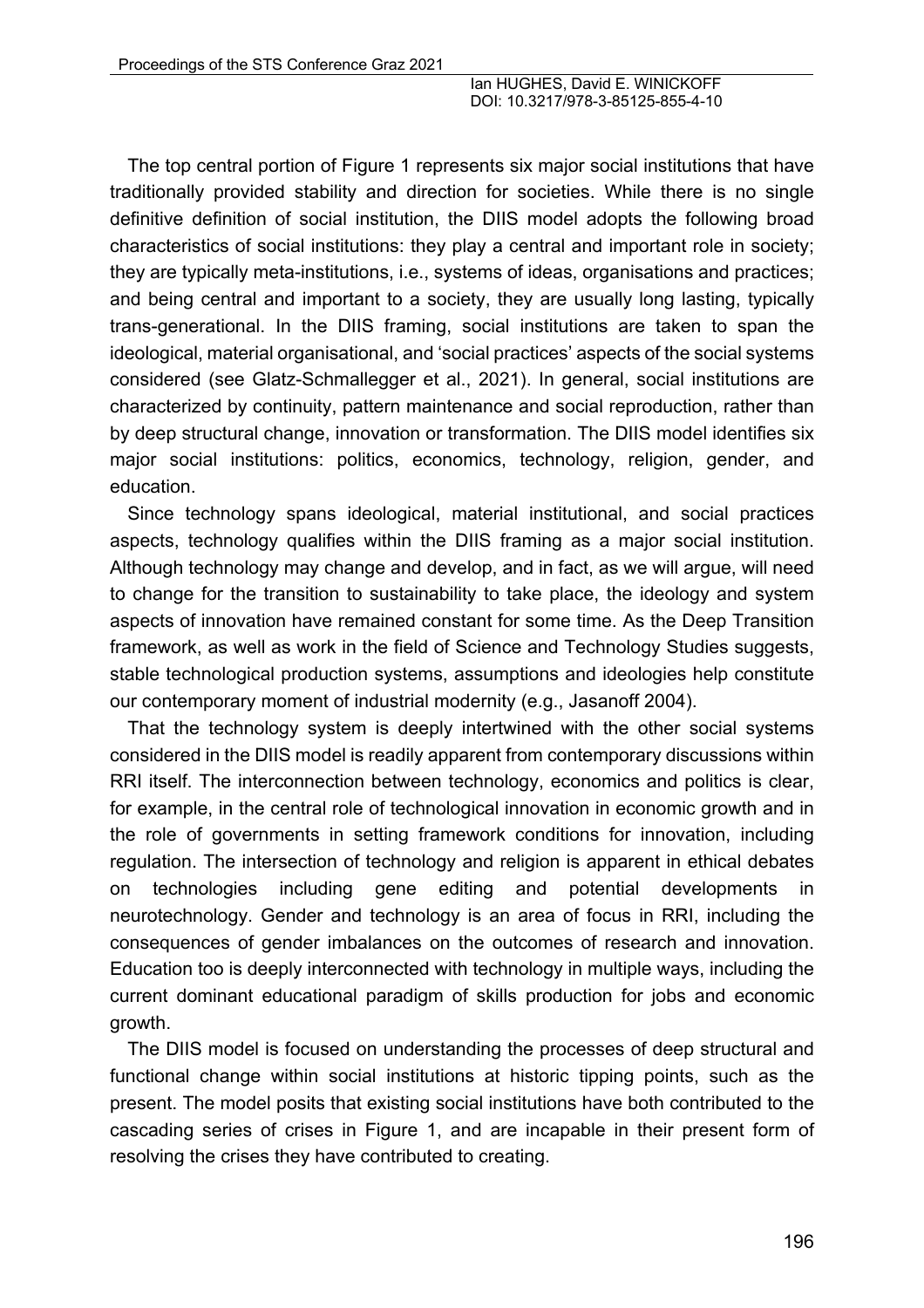The top central portion of Figure 1 represents six major social institutions that have traditionally provided stability and direction for societies. While there is no single definitive definition of social institution, the DIIS model adopts the following broad characteristics of social institutions: they play a central and important role in society; they are typically meta-institutions, i.e., systems of ideas, organisations and practices; and being central and important to a society, they are usually long lasting, typically trans-generational. In the DIIS framing, social institutions are taken to span the ideological, material organisational, and 'social practices' aspects of the social systems considered (see Glatz-Schmallegger et al., 2021). In general, social institutions are characterized by continuity, pattern maintenance and social reproduction, rather than by deep structural change, innovation or transformation. The DIIS model identifies six major social institutions: politics, economics, technology, religion, gender, and education.

Since technology spans ideological, material institutional, and social practices aspects, technology qualifies within the DIIS framing as a major social institution. Although technology may change and develop, and in fact, as we will argue, will need to change for the transition to sustainability to take place, the ideology and system aspects of innovation have remained constant for some time. As the Deep Transition framework, as well as work in the field of Science and Technology Studies suggests, stable technological production systems, assumptions and ideologies help constitute our contemporary moment of industrial modernity (e.g., Jasanoff 2004).

That the technology system is deeply intertwined with the other social systems considered in the DIIS model is readily apparent from contemporary discussions within RRI itself. The interconnection between technology, economics and politics is clear, for example, in the central role of technological innovation in economic growth and in the role of governments in setting framework conditions for innovation, including regulation. The intersection of technology and religion is apparent in ethical debates on technologies including gene editing and potential developments in neurotechnology. Gender and technology is an area of focus in RRI, including the consequences of gender imbalances on the outcomes of research and innovation. Education too is deeply interconnected with technology in multiple ways, including the current dominant educational paradigm of skills production for jobs and economic growth.

The DIIS model is focused on understanding the processes of deep structural and functional change within social institutions at historic tipping points, such as the present. The model posits that existing social institutions have both contributed to the cascading series of crises in Figure 1, and are incapable in their present form of resolving the crises they have contributed to creating.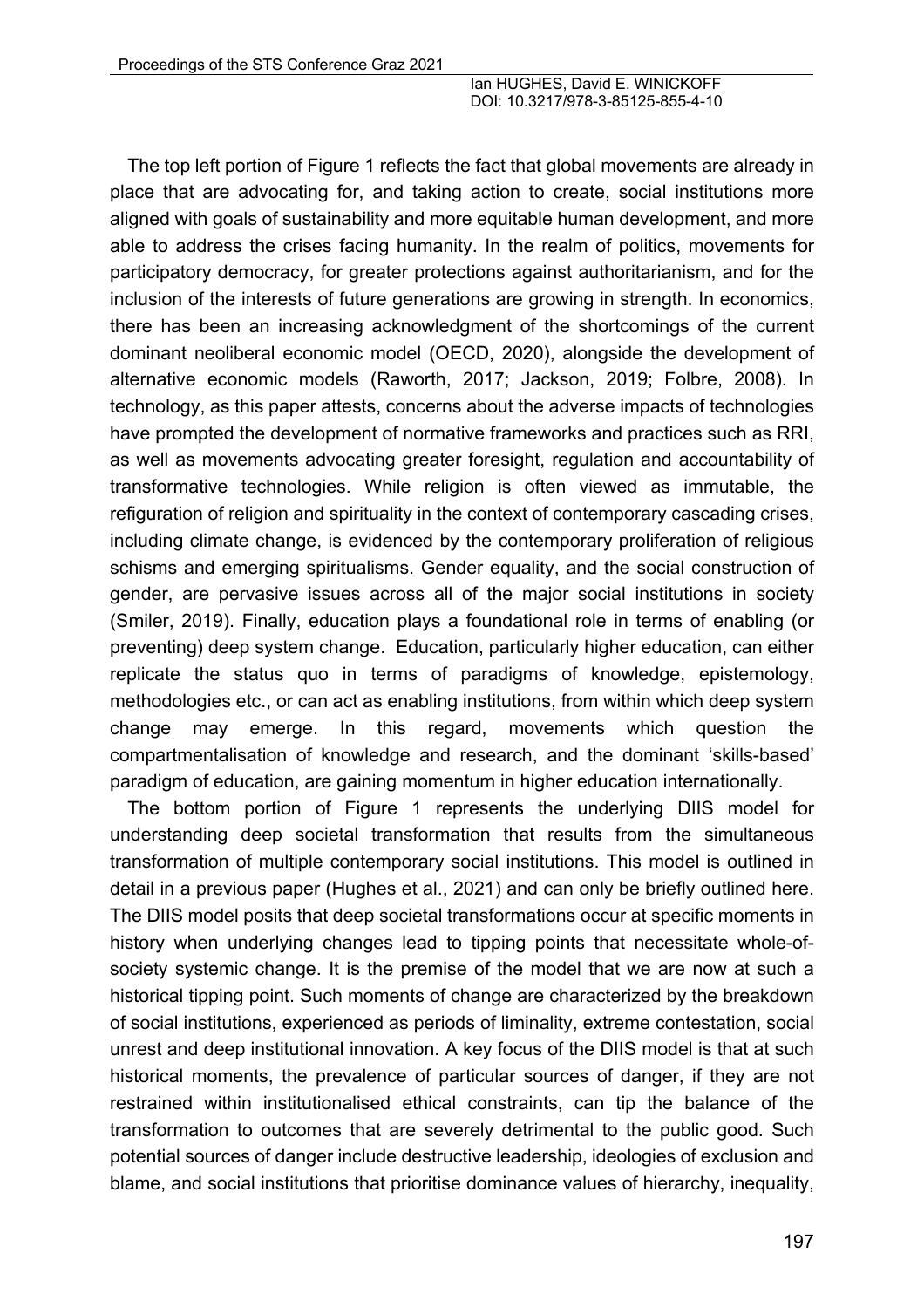The top left portion of Figure 1 reflects the fact that global movements are already in place that are advocating for, and taking action to create, social institutions more aligned with goals of sustainability and more equitable human development, and more able to address the crises facing humanity. In the realm of politics, movements for participatory democracy, for greater protections against authoritarianism, and for the inclusion of the interests of future generations are growing in strength. In economics, there has been an increasing acknowledgment of the shortcomings of the current dominant neoliberal economic model (OECD, 2020), alongside the development of alternative economic models (Raworth, 2017; Jackson, 2019; Folbre, 2008). In technology, as this paper attests, concerns about the adverse impacts of technologies have prompted the development of normative frameworks and practices such as RRI, as well as movements advocating greater foresight, regulation and accountability of transformative technologies. While religion is often viewed as immutable, the refiguration of religion and spirituality in the context of contemporary cascading crises, including climate change, is evidenced by the contemporary proliferation of religious schisms and emerging spiritualisms. Gender equality, and the social construction of gender, are pervasive issues across all of the major social institutions in society (Smiler, 2019). Finally, education plays a foundational role in terms of enabling (or preventing) deep system change. Education, particularly higher education, can either replicate the status quo in terms of paradigms of knowledge, epistemology, methodologies etc., or can act as enabling institutions, from within which deep system change may emerge. In this regard, movements which question the compartmentalisation of knowledge and research, and the dominant 'skills-based' paradigm of education, are gaining momentum in higher education internationally.

The bottom portion of Figure 1 represents the underlying DIIS model for understanding deep societal transformation that results from the simultaneous transformation of multiple contemporary social institutions. This model is outlined in detail in a previous paper (Hughes et al., 2021) and can only be briefly outlined here. The DIIS model posits that deep societal transformations occur at specific moments in history when underlying changes lead to tipping points that necessitate whole-ofsociety systemic change. It is the premise of the model that we are now at such a historical tipping point. Such moments of change are characterized by the breakdown of social institutions, experienced as periods of liminality, extreme contestation, social unrest and deep institutional innovation. A key focus of the DIIS model is that at such historical moments, the prevalence of particular sources of danger, if they are not restrained within institutionalised ethical constraints, can tip the balance of the transformation to outcomes that are severely detrimental to the public good. Such potential sources of danger include destructive leadership, ideologies of exclusion and blame, and social institutions that prioritise dominance values of hierarchy, inequality,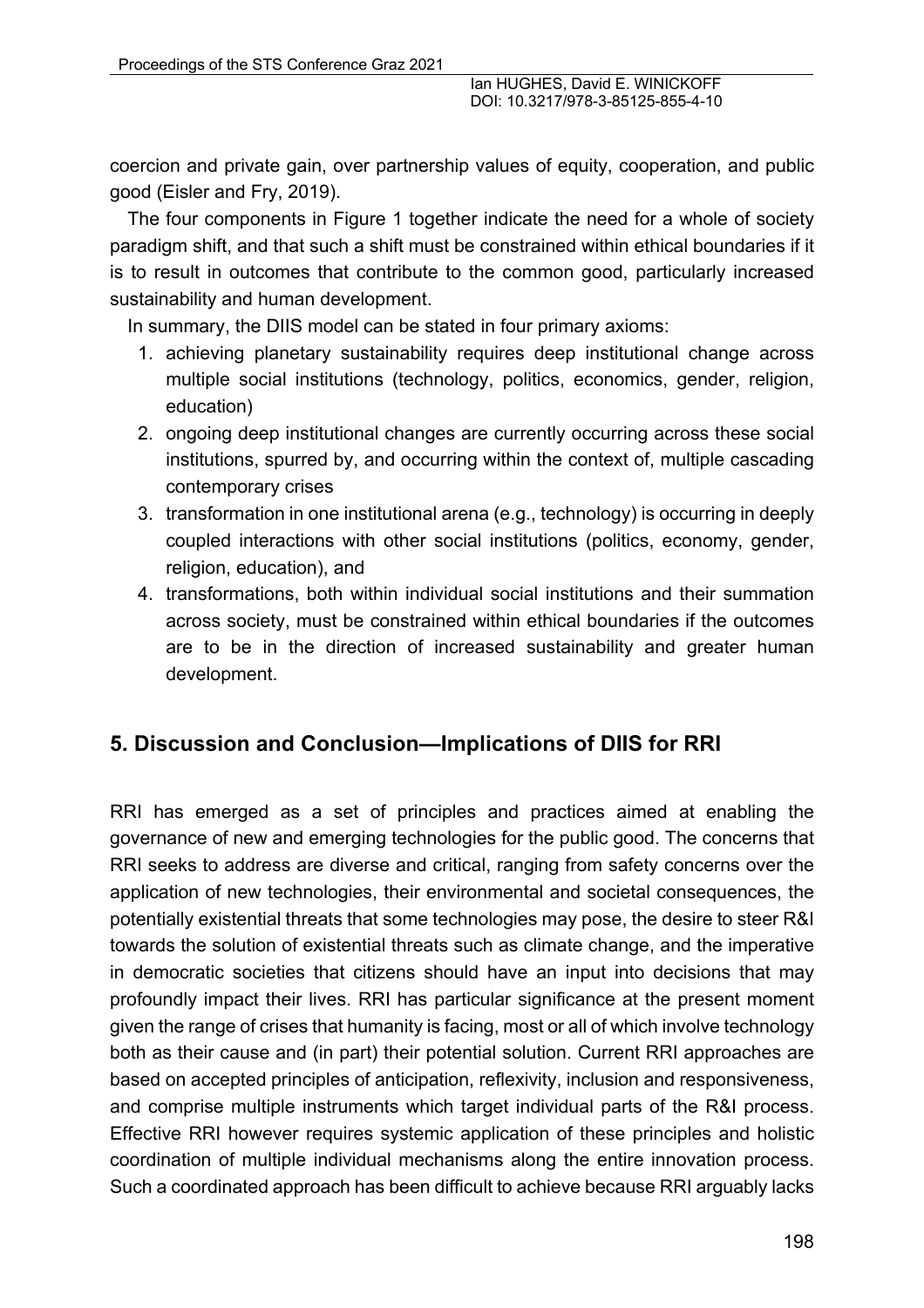coercion and private gain, over partnership values of equity, cooperation, and public good (Eisler and Fry, 2019).

The four components in Figure 1 together indicate the need for a whole of society paradigm shift, and that such a shift must be constrained within ethical boundaries if it is to result in outcomes that contribute to the common good, particularly increased sustainability and human development.

In summary, the DIIS model can be stated in four primary axioms:

- 1. achieving planetary sustainability requires deep institutional change across multiple social institutions (technology, politics, economics, gender, religion, education)
- 2. ongoing deep institutional changes are currently occurring across these social institutions, spurred by, and occurring within the context of, multiple cascading contemporary crises
- 3. transformation in one institutional arena (e.g., technology) is occurring in deeply coupled interactions with other social institutions (politics, economy, gender, religion, education), and
- 4. transformations, both within individual social institutions and their summation across society, must be constrained within ethical boundaries if the outcomes are to be in the direction of increased sustainability and greater human development.

# **5. Discussion and Conclusion—Implications of DIIS for RRI**

RRI has emerged as a set of principles and practices aimed at enabling the governance of new and emerging technologies for the public good. The concerns that RRI seeks to address are diverse and critical, ranging from safety concerns over the application of new technologies, their environmental and societal consequences, the potentially existential threats that some technologies may pose, the desire to steer R&I towards the solution of existential threats such as climate change, and the imperative in democratic societies that citizens should have an input into decisions that may profoundly impact their lives. RRI has particular significance at the present moment given the range of crises that humanity is facing, most or all of which involve technology both as their cause and (in part) their potential solution. Current RRI approaches are based on accepted principles of anticipation, reflexivity, inclusion and responsiveness, and comprise multiple instruments which target individual parts of the R&I process. Effective RRI however requires systemic application of these principles and holistic coordination of multiple individual mechanisms along the entire innovation process. Such a coordinated approach has been difficult to achieve because RRI arguably lacks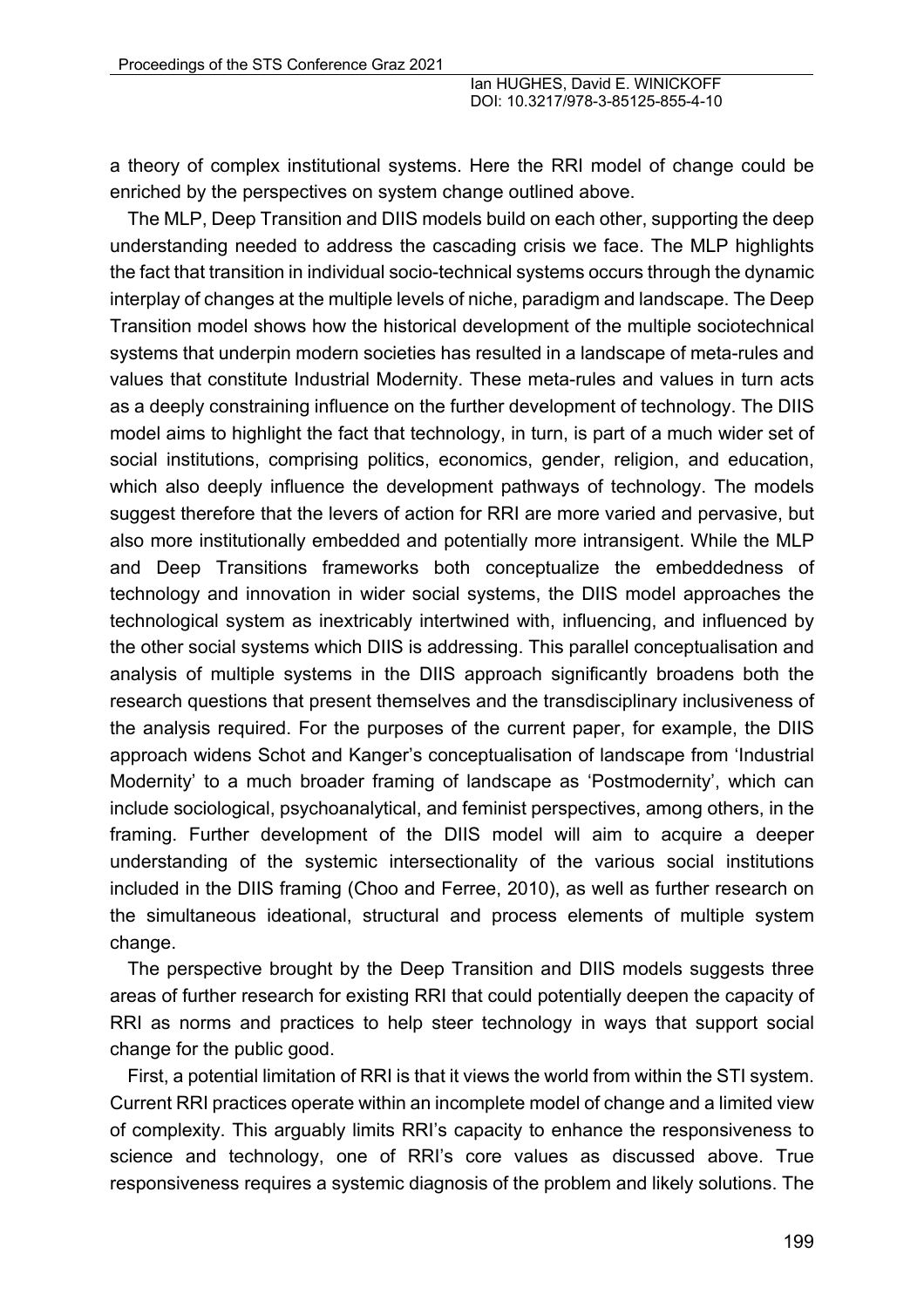a theory of complex institutional systems. Here the RRI model of change could be enriched by the perspectives on system change outlined above.

The MLP, Deep Transition and DIIS models build on each other, supporting the deep understanding needed to address the cascading crisis we face. The MLP highlights the fact that transition in individual socio-technical systems occurs through the dynamic interplay of changes at the multiple levels of niche, paradigm and landscape. The Deep Transition model shows how the historical development of the multiple sociotechnical systems that underpin modern societies has resulted in a landscape of meta-rules and values that constitute Industrial Modernity. These meta-rules and values in turn acts as a deeply constraining influence on the further development of technology. The DIIS model aims to highlight the fact that technology, in turn, is part of a much wider set of social institutions, comprising politics, economics, gender, religion, and education, which also deeply influence the development pathways of technology. The models suggest therefore that the levers of action for RRI are more varied and pervasive, but also more institutionally embedded and potentially more intransigent. While the MLP and Deep Transitions frameworks both conceptualize the embeddedness of technology and innovation in wider social systems, the DIIS model approaches the technological system as inextricably intertwined with, influencing, and influenced by the other social systems which DIIS is addressing. This parallel conceptualisation and analysis of multiple systems in the DIIS approach significantly broadens both the research questions that present themselves and the transdisciplinary inclusiveness of the analysis required. For the purposes of the current paper, for example, the DIIS approach widens Schot and Kanger's conceptualisation of landscape from 'Industrial Modernity' to a much broader framing of landscape as 'Postmodernity', which can include sociological, psychoanalytical, and feminist perspectives, among others, in the framing. Further development of the DIIS model will aim to acquire a deeper understanding of the systemic intersectionality of the various social institutions included in the DIIS framing (Choo and Ferree, 2010), as well as further research on the simultaneous ideational, structural and process elements of multiple system change.

The perspective brought by the Deep Transition and DIIS models suggests three areas of further research for existing RRI that could potentially deepen the capacity of RRI as norms and practices to help steer technology in ways that support social change for the public good.

First, a potential limitation of RRI is that it views the world from within the STI system. Current RRI practices operate within an incomplete model of change and a limited view of complexity. This arguably limits RRI's capacity to enhance the responsiveness to science and technology, one of RRI's core values as discussed above. True responsiveness requires a systemic diagnosis of the problem and likely solutions. The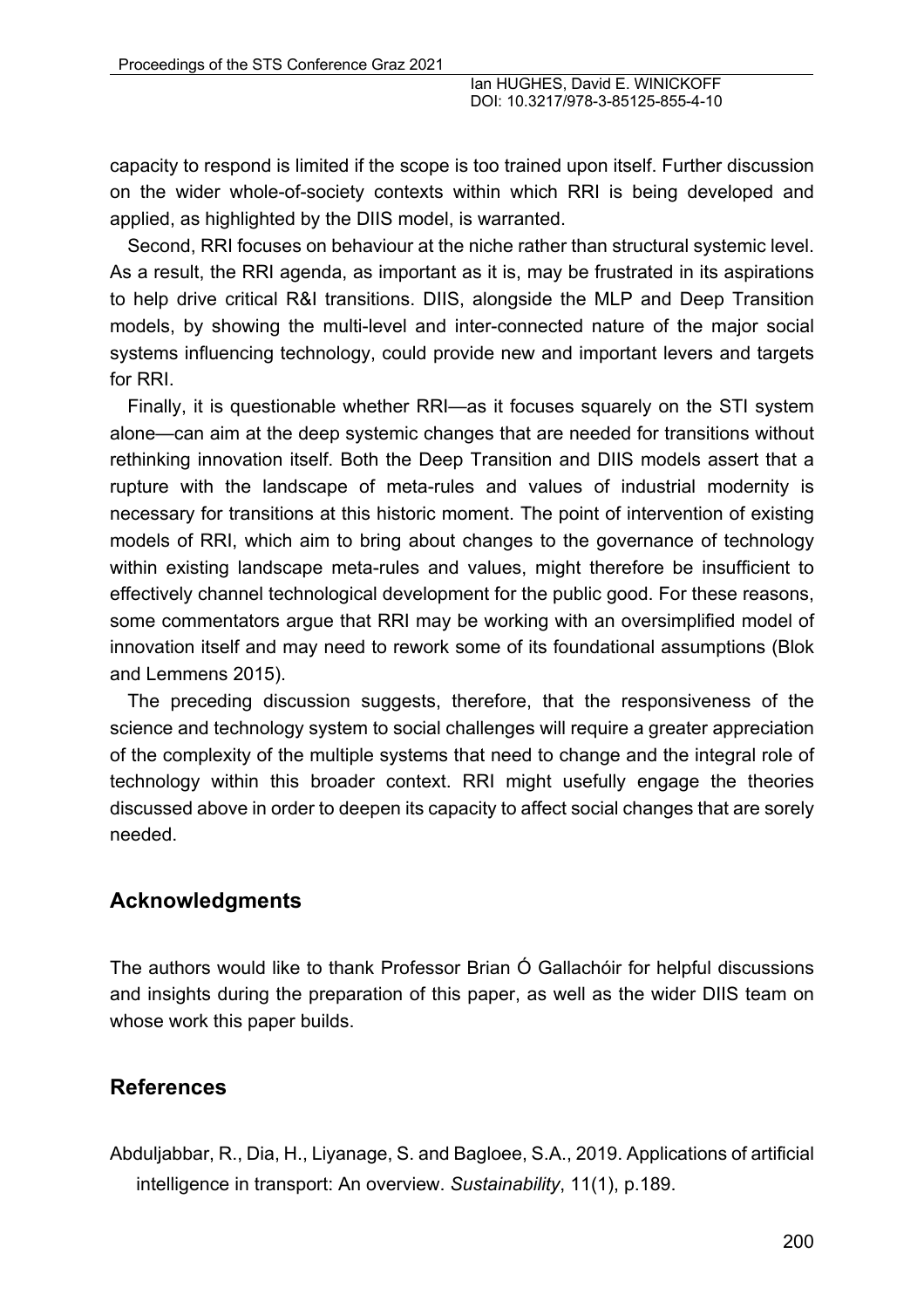capacity to respond is limited if the scope is too trained upon itself. Further discussion on the wider whole-of-society contexts within which RRI is being developed and applied, as highlighted by the DIIS model, is warranted.

Second, RRI focuses on behaviour at the niche rather than structural systemic level. As a result, the RRI agenda, as important as it is, may be frustrated in its aspirations to help drive critical R&I transitions. DIIS, alongside the MLP and Deep Transition models, by showing the multi-level and inter-connected nature of the major social systems influencing technology, could provide new and important levers and targets for RRI.

Finally, it is questionable whether RRI—as it focuses squarely on the STI system alone—can aim at the deep systemic changes that are needed for transitions without rethinking innovation itself. Both the Deep Transition and DIIS models assert that a rupture with the landscape of meta-rules and values of industrial modernity is necessary for transitions at this historic moment. The point of intervention of existing models of RRI, which aim to bring about changes to the governance of technology within existing landscape meta-rules and values, might therefore be insufficient to effectively channel technological development for the public good. For these reasons, some commentators argue that RRI may be working with an oversimplified model of innovation itself and may need to rework some of its foundational assumptions (Blok and Lemmens 2015).

The preceding discussion suggests, therefore, that the responsiveness of the science and technology system to social challenges will require a greater appreciation of the complexity of the multiple systems that need to change and the integral role of technology within this broader context. RRI might usefully engage the theories discussed above in order to deepen its capacity to affect social changes that are sorely needed.

### **Acknowledgments**

The authors would like to thank Professor Brian Ó Gallachóir for helpful discussions and insights during the preparation of this paper, as well as the wider DIIS team on whose work this paper builds.

# **References**

Abduljabbar, R., Dia, H., Liyanage, S. and Bagloee, S.A., 2019. Applications of artificial intelligence in transport: An overview. *Sustainability*, 11(1), p.189.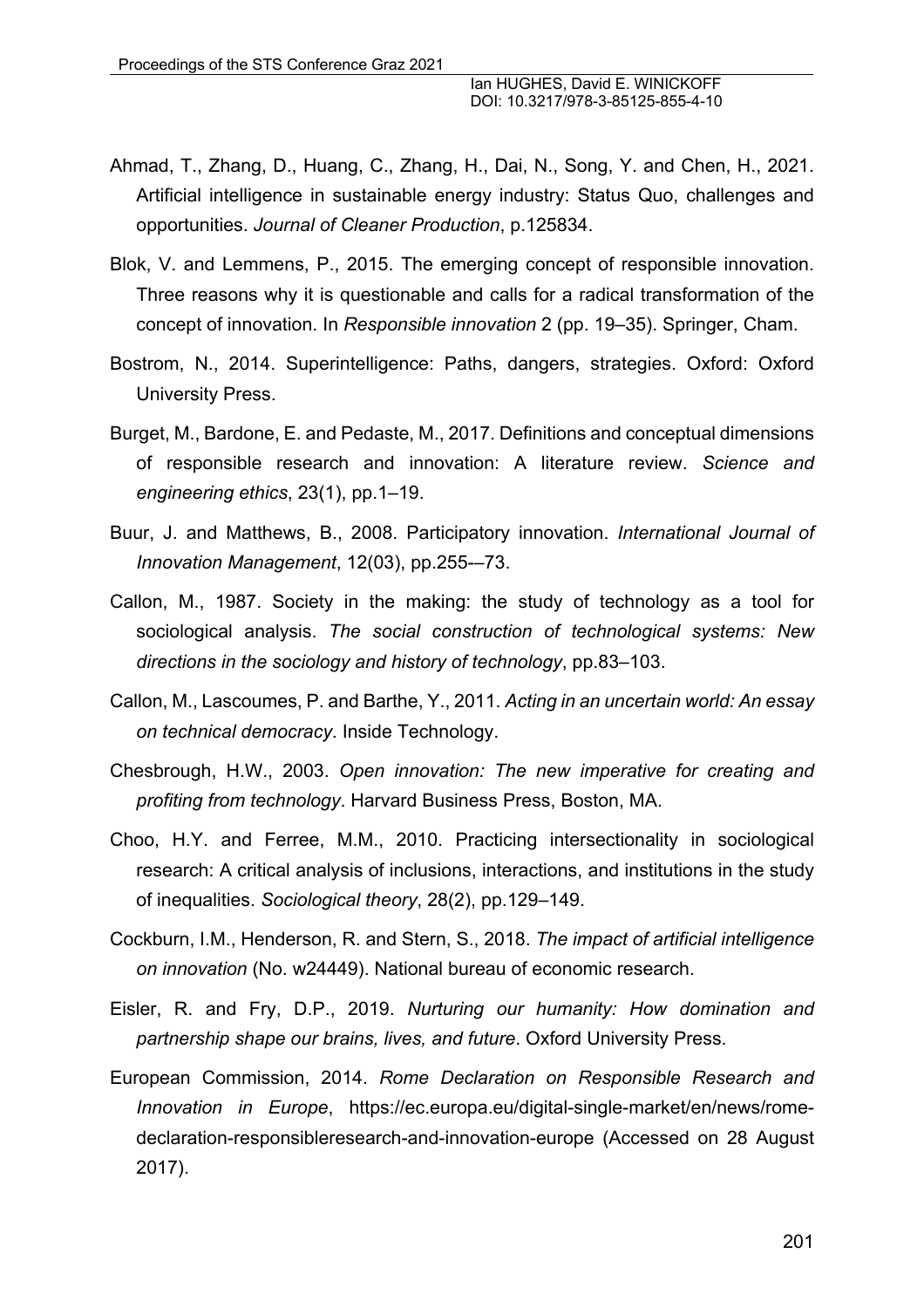- Ahmad, T., Zhang, D., Huang, C., Zhang, H., Dai, N., Song, Y. and Chen, H., 2021. Artificial intelligence in sustainable energy industry: Status Quo, challenges and opportunities. *Journal of Cleaner Production*, p.125834.
- Blok, V. and Lemmens, P., 2015. The emerging concept of responsible innovation. Three reasons why it is questionable and calls for a radical transformation of the concept of innovation. In *Responsible innovation* 2 (pp. 19–35). Springer, Cham.
- Bostrom, N., 2014. Superintelligence: Paths, dangers, strategies. Oxford: Oxford University Press.
- Burget, M., Bardone, E. and Pedaste, M., 2017. Definitions and conceptual dimensions of responsible research and innovation: A literature review. *Science and engineering ethics*, 23(1), pp.1–19.
- Buur, J. and Matthews, B., 2008. Participatory innovation. *International Journal of Innovation Management*, 12(03), pp.255-–73.
- Callon, M., 1987. Society in the making: the study of technology as a tool for sociological analysis. *The social construction of technological systems: New directions in the sociology and history of technology*, pp.83–103.
- Callon, M., Lascoumes, P. and Barthe, Y., 2011. *Acting in an uncertain world: An essay on technical democracy*. Inside Technology.
- Chesbrough, H.W., 2003. *Open innovation: The new imperative for creating and profiting from technology*. Harvard Business Press, Boston, MA.
- Choo, H.Y. and Ferree, M.M., 2010. Practicing intersectionality in sociological research: A critical analysis of inclusions, interactions, and institutions in the study of inequalities. *Sociological theory*, 28(2), pp.129–149.
- Cockburn, I.M., Henderson, R. and Stern, S., 2018. *The impact of artificial intelligence on innovation* (No. w24449). National bureau of economic research.
- Eisler, R. and Fry, D.P., 2019. *Nurturing our humanity: How domination and partnership shape our brains, lives, and future*. Oxford University Press.
- European Commission, 2014. *Rome Declaration on Responsible Research and Innovation in Europe*, https://ec.europa.eu/digital-single-market/en/news/romedeclaration-responsibleresearch-and-innovation-europe (Accessed on 28 August 2017).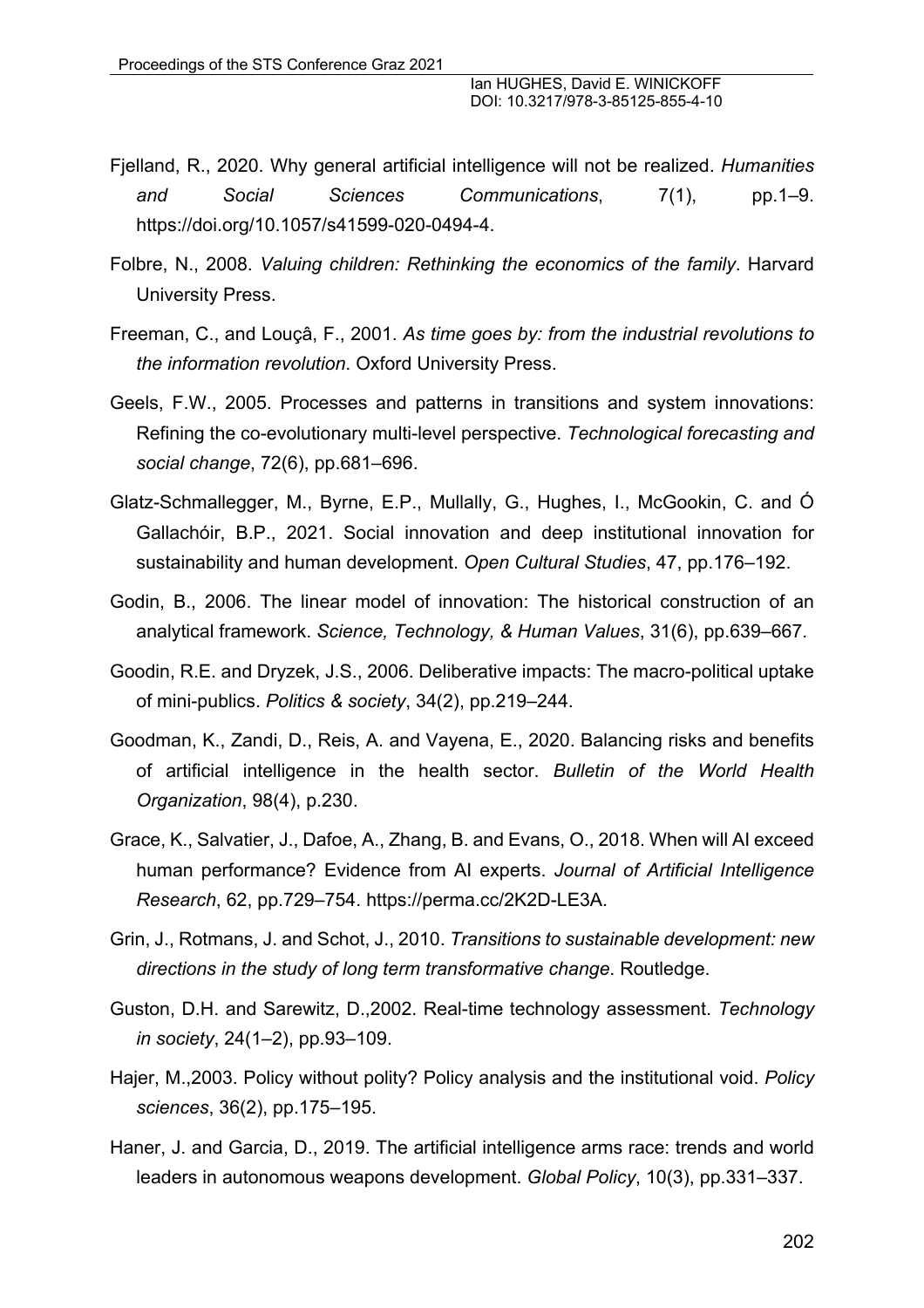- Fjelland, R., 2020. Why general artificial intelligence will not be realized. *Humanities and Social Sciences Communications*, 7(1), pp.1–9. https://doi.org/10.1057/s41599-020-0494-4.
- Folbre, N., 2008. *Valuing children: Rethinking the economics of the family*. Harvard University Press.
- Freeman, C., and Louçâ, F., 2001. *As time goes by: from the industrial revolutions to the information revolution*. Oxford University Press.
- Geels, F.W., 2005. Processes and patterns in transitions and system innovations: Refining the co-evolutionary multi-level perspective. *Technological forecasting and social change*, 72(6), pp.681–696.
- Glatz-Schmallegger, M., Byrne, E.P., Mullally, G., Hughes, I., McGookin, C. and Ó Gallachóir, B.P., 2021. Social innovation and deep institutional innovation for sustainability and human development. *Open Cultural Studies*, 47, pp.176–192.
- Godin, B., 2006. The linear model of innovation: The historical construction of an analytical framework. *Science, Technology, & Human Values*, 31(6), pp.639–667.
- Goodin, R.E. and Dryzek, J.S., 2006. Deliberative impacts: The macro-political uptake of mini-publics. *Politics & society*, 34(2), pp.219–244.
- Goodman, K., Zandi, D., Reis, A. and Vayena, E., 2020. Balancing risks and benefits of artificial intelligence in the health sector. *Bulletin of the World Health Organization*, 98(4), p.230.
- Grace, K., Salvatier, J., Dafoe, A., Zhang, B. and Evans, O., 2018. When will AI exceed human performance? Evidence from AI experts. *Journal of Artificial Intelligence Research*, 62, pp.729–754. https://perma.cc/2K2D-LE3A.
- Grin, J., Rotmans, J. and Schot, J., 2010. *Transitions to sustainable development: new directions in the study of long term transformative change*. Routledge.
- Guston, D.H. and Sarewitz, D.,2002. Real-time technology assessment. *Technology in society*, 24(1–2), pp.93–109.
- Hajer, M.,2003. Policy without polity? Policy analysis and the institutional void. *Policy sciences*, 36(2), pp.175–195.
- Haner, J. and Garcia, D., 2019. The artificial intelligence arms race: trends and world leaders in autonomous weapons development. *Global Policy*, 10(3), pp.331–337.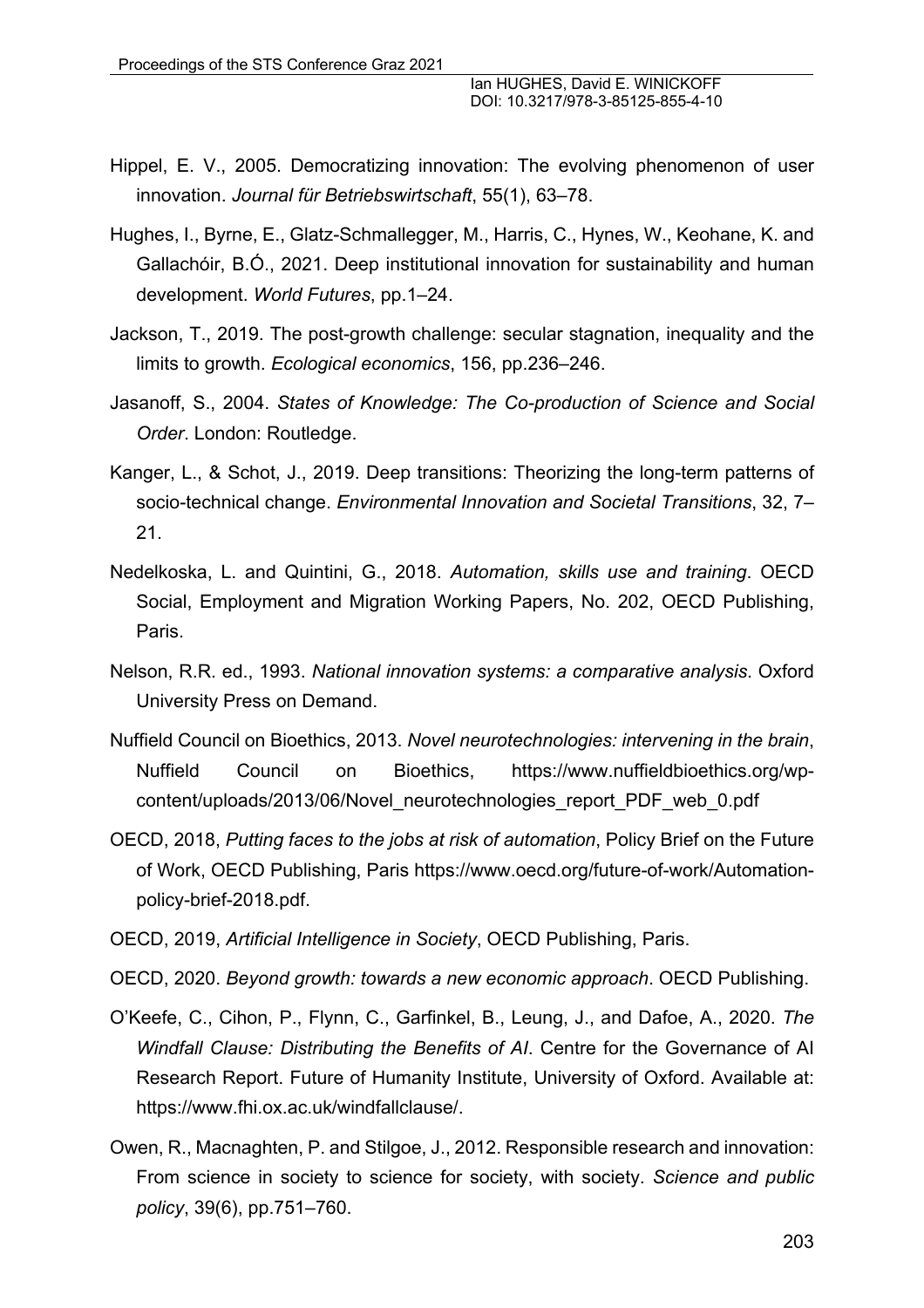- Hippel, E. V., 2005. Democratizing innovation: The evolving phenomenon of user innovation. *Journal für Betriebswirtschaft*, 55(1), 63–78.
- Hughes, I., Byrne, E., Glatz-Schmallegger, M., Harris, C., Hynes, W., Keohane, K. and Gallachóir, B.Ó., 2021. Deep institutional innovation for sustainability and human development. *World Futures*, pp.1–24.
- Jackson, T., 2019. The post-growth challenge: secular stagnation, inequality and the limits to growth. *Ecological economics*, 156, pp.236–246.
- Jasanoff, S., 2004. *States of Knowledge: The Co-production of Science and Social Order*. London: Routledge.
- Kanger, L., & Schot, J., 2019. Deep transitions: Theorizing the long-term patterns of socio-technical change. *Environmental Innovation and Societal Transitions*, 32, 7– 21.
- Nedelkoska, L. and Quintini, G., 2018. *Automation, skills use and training*. OECD Social, Employment and Migration Working Papers, No. 202, OECD Publishing, Paris.
- Nelson, R.R. ed., 1993. *National innovation systems: a comparative analysis*. Oxford University Press on Demand.
- Nuffield Council on Bioethics, 2013. *Novel neurotechnologies: intervening in the brain*, Nuffield Council on Bioethics, https://www.nuffieldbioethics.org/wpcontent/uploads/2013/06/Novel\_neurotechnologies\_report\_PDF\_web\_0.pdf
- OECD, 2018, *Putting faces to the jobs at risk of automation*, Policy Brief on the Future of Work, OECD Publishing, Paris https://www.oecd.org/future-of-work/Automationpolicy-brief-2018.pdf.
- OECD, 2019, *Artificial Intelligence in Society*, OECD Publishing, Paris.
- OECD, 2020. *Beyond growth: towards a new economic approach*. OECD Publishing.
- O'Keefe, C., Cihon, P., Flynn, C., Garfinkel, B., Leung, J., and Dafoe, A., 2020. *The Windfall Clause: Distributing the Benefits of AI*. Centre for the Governance of AI Research Report. Future of Humanity Institute, University of Oxford. Available at: https://www.fhi.ox.ac.uk/windfallclause/.
- Owen, R., Macnaghten, P. and Stilgoe, J., 2012. Responsible research and innovation: From science in society to science for society, with society. *Science and public policy*, 39(6), pp.751–760.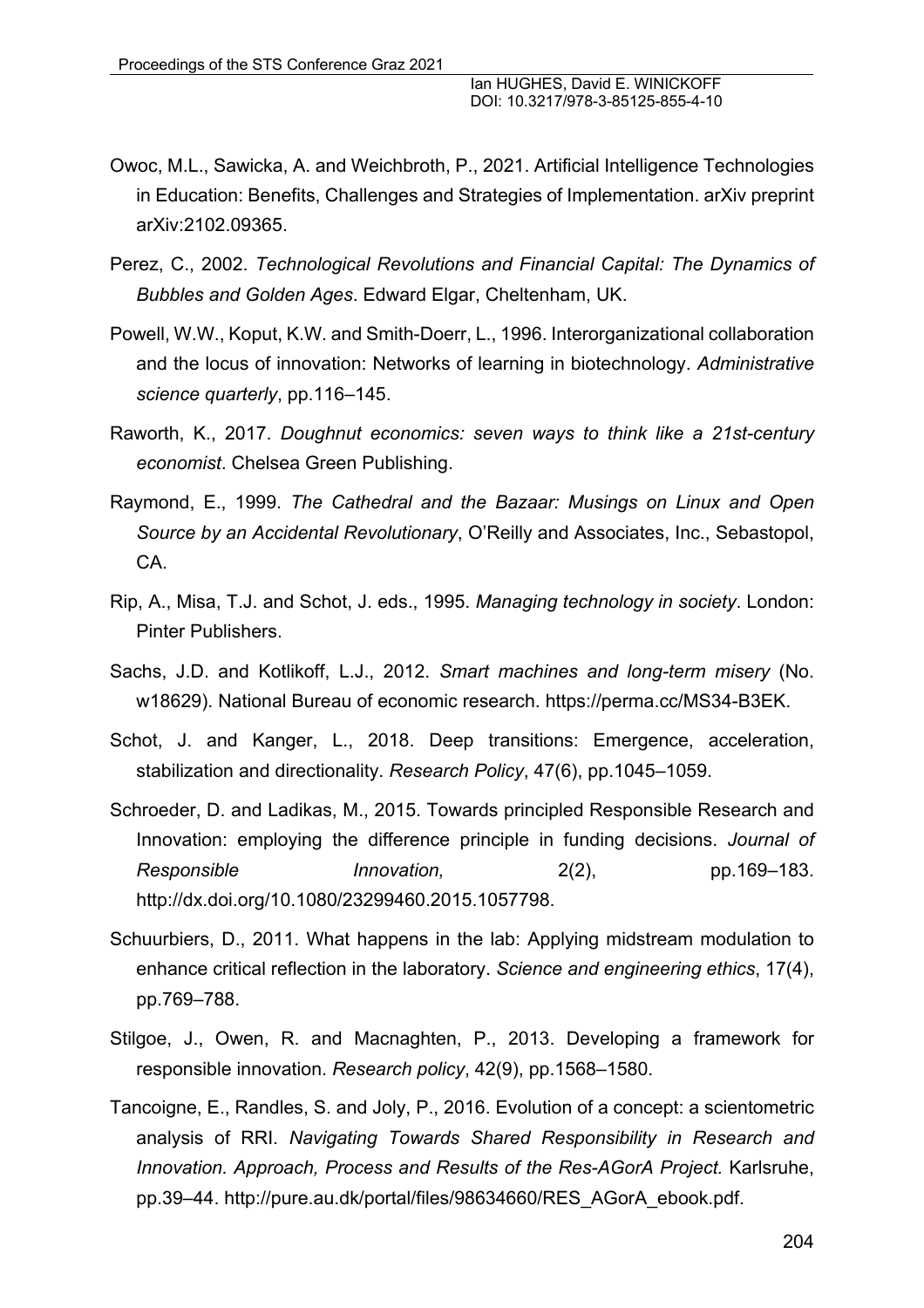- Owoc, M.L., Sawicka, A. and Weichbroth, P., 2021. Artificial Intelligence Technologies in Education: Benefits, Challenges and Strategies of Implementation. arXiv preprint arXiv:2102.09365.
- Perez, C., 2002. *Technological Revolutions and Financial Capital: The Dynamics of Bubbles and Golden Ages*. Edward Elgar, Cheltenham, UK.
- Powell, W.W., Koput, K.W. and Smith-Doerr, L., 1996. Interorganizational collaboration and the locus of innovation: Networks of learning in biotechnology. *Administrative science quarterly*, pp.116–145.
- Raworth, K., 2017. *Doughnut economics: seven ways to think like a 21st-century economist*. Chelsea Green Publishing.
- Raymond, E., 1999. *The Cathedral and the Bazaar: Musings on Linux and Open Source by an Accidental Revolutionary*, O'Reilly and Associates, Inc., Sebastopol, CA.
- Rip, A., Misa, T.J. and Schot, J. eds., 1995. *Managing technology in society*. London: Pinter Publishers.
- Sachs, J.D. and Kotlikoff, L.J., 2012. *Smart machines and long-term misery* (No. w18629). National Bureau of economic research. https://perma.cc/MS34-B3EK.
- Schot, J. and Kanger, L., 2018. Deep transitions: Emergence, acceleration, stabilization and directionality. *Research Policy*, 47(6), pp.1045–1059.
- Schroeder, D. and Ladikas, M., 2015. Towards principled Responsible Research and Innovation: employing the difference principle in funding decisions. *Journal of Responsible Innovation,* 2(2), pp.169–183. http://dx.doi.org/10.1080/23299460.2015.1057798.
- Schuurbiers, D., 2011. What happens in the lab: Applying midstream modulation to enhance critical reflection in the laboratory. *Science and engineering ethics*, 17(4), pp.769–788.
- Stilgoe, J., Owen, R. and Macnaghten, P., 2013. Developing a framework for responsible innovation. *Research policy*, 42(9), pp.1568–1580.
- Tancoigne, E., Randles, S. and Joly, P., 2016. Evolution of a concept: a scientometric analysis of RRI. *Navigating Towards Shared Responsibility in Research and Innovation. Approach, Process and Results of the Res-AGorA Project.* Karlsruhe, pp.39–44. http://pure.au.dk/portal/files/98634660/RES\_AGorA\_ebook.pdf.